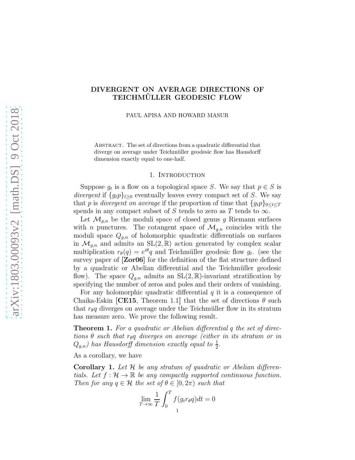# DIVERGENT ON AVERAGE DIRECTIONS OF TEICHMÜLLER GEODESIC FLOW

PAUL APISA AND HOWARD MASUR

ABSTRACT. The set of directions from a quadratic differential that diverge on average under Teichmüller geodesic flow has Hausdorff dimension exactly equal to one-half.

#### 1. INTRODUCTION

Suppose  $g_t$  is a flow on a topological space S. We say that  $p \in S$  is divergent if  $\{g_t p\}_{t\geq 0}$  eventually leaves every compact set of S. We say that p is divergent on average if the proportion of time that  ${g_{t}}p_{0\leq t\leq T}$ spends in any compact subset of S tends to zero as T tends to  $\infty$ .

Let  $\mathcal{M}_{q,n}$  be the moduli space of closed genus g Riemann surfaces with *n* punctures. The cotangent space of  $\mathcal{M}_{g,n}$  coincides with the moduli space  $Q_{g,n}$  of holomorphic quadratic differentials on surfaces in  $\mathcal{M}_{g,n}$  and admits an  $SL(2,\mathbb{R})$  action generated by complex scalar multiplication  $r_{\theta}(q) = e^{i\theta}q$  and Teichmüller geodesic flow  $g_t$ . (see the survey paper of [\[Zor06\]](#page-30-0) for the definition of the flat structure defined by a quadratic or Abelian differential and the Teichmüller geodesic flow). The space  $Q_{g,n}$  admits an  $SL(2,\mathbb{R})$ -invariant stratification by specifying the number of zeros and poles and their orders of vanishing.

For any holomorphic quadratic differential  $q$  it is a consequence of Chaika-Eskin [\[CE15](#page-28-0), Theorem 1.1] that the set of directions  $\theta$  such that  $r_{\theta}q$  diverges on average under the Teichmüller flow in its stratum has measure zero. We prove the following result.

<span id="page-0-0"></span>**Theorem 1.** For a quadratic or Abelian differential q the set of directions  $\theta$  such that r<sub>θ</sub>q diverges on average (either in its stratum or in  $Q_{g,n}$ ) has Hausdorff dimension exactly equal to  $\frac{1}{2}$ .

As a corollary, we have

**Corollary 1.** Let  $H$  be any stratum of quadratic or Abelian differentials. Let  $f: \mathcal{H} \to \mathbb{R}$  be any compactly supported continuous function. Then for any  $q \in \mathcal{H}$  the set of  $\theta \in [0, 2\pi)$  such that

$$
\lim_{T \to \infty} \frac{1}{T} \int_0^T f(g_t r_{\theta} q) dt = 0
$$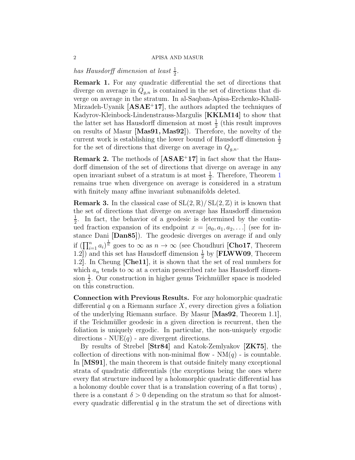has Hausdorff dimension at least  $\frac{1}{2}$ .

Remark 1. For any quadratic differential the set of directions that diverge on average in  $Q_{g,n}$  is contained in the set of directions that diverge on average in the stratum. In al-Saqban-Apisa-Erchenko-Khalil-Mirzadeh-Uyanik  $[ASAE^+17]$  $[ASAE^+17]$ , the authors adapted the techniques of Kadyrov-Kleinbock-Lindenstrauss-Margulis [\[KKLM14\]](#page-29-0) to show that the latter set has Hausdorff dimension at most  $\frac{1}{2}$  (this result improves on results of Masur [\[Mas91,](#page-29-1) [Mas92\]](#page-29-2)). Therefore, the novelty of the current work is establishing the lower bound of Hausdorff dimension  $\frac{1}{2}$ for the set of directions that diverge on average in  $Q_{g,n}$ .

**Remark 2.** The methods of  $[ASAE^+17]$  $[ASAE^+17]$  in fact show that the Hausdorff dimension of the set of directions that diverge on average in any open invariant subset of a stratum is at most  $\frac{1}{2}$  $\frac{1}{2}$  $\frac{1}{2}$ . Therefore, Theorem 1 remains true when divergence on average is considered in a stratum with finitely many affine invariant submanifolds deleted.

**Remark 3.** In the classical case of  $SL(2,\mathbb{R})/SL(2,\mathbb{Z})$  it is known that the set of directions that diverge on average has Hausdorff dimension 1  $\frac{1}{2}$ . In fact, the behavior of a geodesic is determined by the continued fraction expansion of its endpoint  $x = [a_0, a_1, a_2, \ldots]$  (see for instance Dani [\[Dan85\]](#page-29-3)). The geodesic diverges on average if and only if  $(\prod_{i=1}^n a_i)^{\frac{1}{n}}$  goes to  $\infty$  as  $n \to \infty$  (see Choudhuri [\[Cho17](#page-29-4), Theorem 1.2]) and this set has Hausdorff dimension  $\frac{1}{2}$  by [**FLWW09**, Theorem 1.2]. In Cheung [\[Che11\]](#page-28-2), it is shown that the set of real numbers for which  $a_n$  tends to  $\infty$  at a certain prescribed rate has Hausdorff dimension  $\frac{1}{2}$ . Our construction in higher genus Teichmüller space is modeled on this construction.

Connection with Previous Results. For any holomorphic quadratic differential q on a Riemann surface  $X$ , every direction gives a foliation of the underlying Riemann surface. By Masur [\[Mas92](#page-29-2), Theorem 1.1], if the Teichmüller geodesic in a given direction is recurrent, then the foliation is uniquely ergodic. In particular, the non-uniquely ergodic directions -  $NUE(q)$  - are divergent directions.

By results of Strebel [\[Str84\]](#page-29-6) and Katok-Zemlyakov [\[ZK75\]](#page-30-1), the collection of directions with non-minimal flow -  $NM(q)$  - is countable. In [\[MS91\]](#page-29-7), the main theorem is that outside finitely many exceptional strata of quadratic differentials (the exceptions being the ones where every flat structure induced by a holomorphic quadratic differential has a holonomy double cover that is a translation covering of a flat torus) , there is a constant  $\delta > 0$  depending on the stratum so that for almostevery quadratic differential  $q$  in the stratum the set of directions with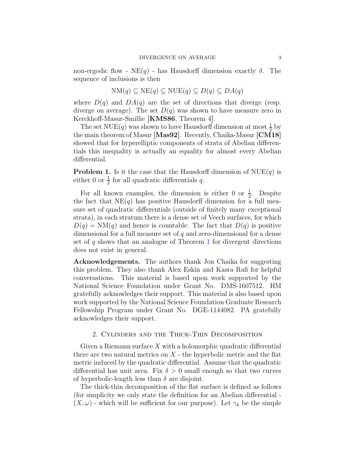non-ergodic flow -  $NE(q)$  - has Hausdorff dimension exactly  $\delta$ . The sequence of inclusions is then

$$
NM(q) \subseteq NE(q) \subseteq NUE(q) \subseteq D(q) \subseteq DA(q)
$$

where  $D(q)$  and  $DA(q)$  are the set of directions that diverge (resp. diverge on average). The set  $D(q)$  was shown to have measure zero in Kerckhoff-Masur-Smillie [\[KMS86](#page-29-8), Theorem 4].

The set NUE(q) was shown to have Hausdorff dimension at most  $\frac{1}{2}$  by the main theorem of Masur [\[Mas92\]](#page-29-2). Recently, Chaika-Masur [\[CM18\]](#page-29-9) showed that for hyperelliptic components of strata of Abelian differentials this inequality is actually an equality for almost every Abelian differential.

**Problem 1.** Is it the case that the Hausdorff dimension of  $NUE(q)$  is either 0 or  $\frac{1}{2}$  for all quadratic differentials q.

For all known examples, the dimension is either 0 or  $\frac{1}{2}$ . Despite the fact that  $NE(q)$  has positive Hausdorff dimension for a full measure set of quadratic differentials (outside of finitely many exceptional strata), in each stratum there is a dense set of Veech surfaces, for which  $D(q) = NM(q)$  and hence is countable. The fact that  $D(q)$  is positive dimensional for a full measure set of q and zero-dimensional for a dense set of  $q$  shows that an analogue of Theorem [1](#page-0-0) for divergent directions does not exist in general.

Acknowledgements. The authors thank Jon Chaika for suggesting this problem. They also thank Alex Eskin and Kasra Rafi for helpful conversations. This material is based upon work supported by the National Science Foundation under Grant No. DMS-1607512. HM gratefully acknowledges their support. This material is also based upon work supported by the National Science Foundation Graduate Research Fellowship Program under Grant No. DGE-1144082. PA gratefully acknowledges their support.

## 2. Cylinders and the Thick-Thin Decomposition

Given a Riemann surface  $X$  with a holomorphic quadratic differential there are two natural metrics on  $X$  - the hyperbolic metric and the flat metric induced by the quadratic differential. Assume that the quadratic differential has unit area. Fix  $\delta > 0$  small enough so that two curves of hyperbolic-length less than  $\delta$  are disjoint.

The thick-thin decomposition of the flat surface is defined as follows (for simplicity we only state the definition for an Abelian differential -  $(X, \omega)$  - which will be sufficient for our purpose). Let  $\gamma_k$  be the simple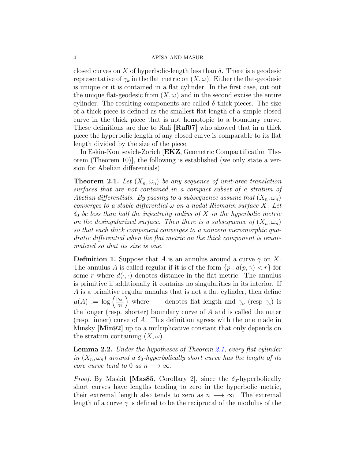closed curves on X of hyperbolic-length less than  $\delta$ . There is a geodesic representative of  $\gamma_k$  in the flat metric on  $(X,\omega)$ . Either the flat-geodesic is unique or it is contained in a flat cylinder. In the first case, cut out the unique flat-geodesic from  $(X, \omega)$  and in the second excise the entire cylinder. The resulting components are called  $\delta$ -thick-pieces. The size of a thick-piece is defined as the smallest flat length of a simple closed curve in the thick piece that is not homotopic to a boundary curve. These definitions are due to Rafi [\[Raf07\]](#page-29-10) who showed that in a thick piece the hyperbolic length of any closed curve is comparable to its flat length divided by the size of the piece.

In Eskin-Kontsevich-Zorich [\[EKZ](#page-29-11), Geometric Compactification Theorem (Theorem 10)], the following is established (we only state a version for Abelian differentials)

<span id="page-3-0"></span>**Theorem 2.1.** Let  $(X_n, \omega_n)$  be any sequence of unit-area translation surfaces that are not contained in a compact subset of a stratum of Abelian differentials. By passing to a subsequence assume that  $(X_n, \omega_n)$ converges to a stable differential  $\omega$  on a nodal Riemann surface X. Let  $\delta_0$  be less than half the injectivity radius of X in the hyperbolic metric on the desingularized surface. Then there is a subsequence of  $(X_n, \omega_n)$ so that each thick component converges to a nonzero meromorphic quadratic differential when the flat metric on the thick component is renormalized so that its size is one.

**Definition 1.** Suppose that A is an annulus around a curve  $\gamma$  on X. The annulus A is called regular if it is of the form  $\{p : d(p, \gamma) < r\}$  for some r where  $d(\cdot, \cdot)$  denotes distance in the flat metric. The annulus is primitive if additionally it contains no singularities in its interior. If A is a primitive regular annulus that is not a flat cylinder, then define  $\mu(A) := \log \left( \frac{|\gamma_0|}{|\gamma_0|} \right)$  $|\gamma_i|$ where  $|\cdot|$  denotes flat length and  $\gamma_o$  (resp  $\gamma_i$ ) is the longer (resp. shorter) boundary curve of  $A$  and is called the outer (resp. inner) curve of A. This definition agrees with the one made in Minsky [\[Min92\]](#page-29-12) up to a multiplicative constant that only depends on the stratum containing  $(X, \omega)$ .

<span id="page-3-1"></span>**Lemma 2.2.** Under the hypotheses of Theorem [2.1,](#page-3-0) every flat cylinder in  $(X_n, \omega_n)$  around a  $\delta_0$ -hyperbolically short curve has the length of its core curve tend to 0 as  $n \longrightarrow \infty$ .

*Proof.* By Maskit [\[Mas85](#page-29-13), Corollary 2], since the  $\delta_0$ -hyperbolically short curves have lengths tending to zero in the hyperbolic metric, their extremal length also tends to zero as  $n \longrightarrow \infty$ . The extremal length of a curve  $\gamma$  is defined to be the reciprocal of the modulus of the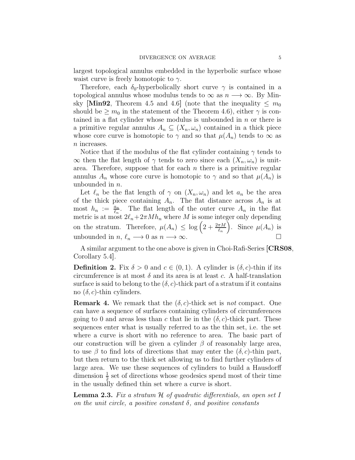largest topological annulus embedded in the hyperbolic surface whose waist curve is freely homotopic to  $\gamma$ .

Therefore, each  $\delta_0$ -hyperbolically short curve  $\gamma$  is contained in a topological annulus whose modulus tends to  $\infty$  as  $n \longrightarrow \infty$ . By Min-sky [\[Min92](#page-29-12), Theorem 4.5 and 4.6] (note that the inequality  $\leq m_0$ ) should be  $\geq m_0$  in the statement of the Theorem 4.6), either  $\gamma$  is contained in a flat cylinder whose modulus is unbounded in  $n$  or there is a primitive regular annulus  $A_n \subseteq (X_n, \omega_n)$  contained in a thick piece whose core curve is homotopic to  $\gamma$  and so that  $\mu(A_n)$  tends to  $\infty$  as n increases.

Notice that if the modulus of the flat cylinder containing  $\gamma$  tends to  $\infty$  then the flat length of  $\gamma$  tends to zero since each  $(X_n, \omega_n)$  is unitarea. Therefore, suppose that for each  $n$  there is a primitive regular annulus  $A_n$  whose core curve is homotopic to  $\gamma$  and so that  $\mu(A_n)$  is unbounded in n.

Let  $\ell_n$  be the flat length of  $\gamma$  on  $(X_n, \omega_n)$  and let  $a_n$  be the area of the thick piece containing  $A_n$ . The flat distance across  $A_n$  is at most  $h_n := \frac{a_n}{\ell_n}$ . The flat length of the outer curve  $A_n$  in the flat metric is at most  $2\ell_n+2\pi M h_n$  where M is some integer only depending on the stratum. Therefore,  $\mu(A_n) \leq \log\left(2 + \frac{2\pi M}{\ell_n}\right)$ . Since  $\mu(A_n)$  is unbounded in  $n, \ell_n \longrightarrow 0$  as  $n \longrightarrow \infty$ .

A similar argument to the one above is given in Choi-Rafi-Series [\[CRS08](#page-29-14), Corollary 5.4].

**Definition 2.** Fix  $\delta > 0$  and  $c \in (0, 1)$ . A cylinder is  $(\delta, c)$ -thin if its circumference is at most  $\delta$  and its area is at least c. A half-translation surface is said to belong to the  $(\delta, c)$ -thick part of a stratum if it contains no  $(\delta, c)$ -thin cylinders.

**Remark 4.** We remark that the  $(\delta, c)$ -thick set is not compact. One can have a sequence of surfaces containing cylinders of circumferences going to 0 and areas less than c that lie in the  $(\delta, c)$ -thick part. These sequences enter what is usually referred to as the thin set, i.e. the set where a curve is short with no reference to area. The basic part of our construction will be given a cylinder  $\beta$  of reasonably large area, to use  $\beta$  to find lots of directions that may enter the  $(\delta, c)$ -thin part, but then return to the thick set allowing us to find further cylinders of large area. We use these sequences of cylinders to build a Hausdorff dimension  $\frac{1}{2}$  set of directions whose geodesics spend most of their time in the usually defined thin set where a curve is short.

<span id="page-4-0"></span>**Lemma 2.3.** Fix a stratum  $H$  of quadratic differentials, an open set I on the unit circle, a positive constant  $\delta$ , and positive constants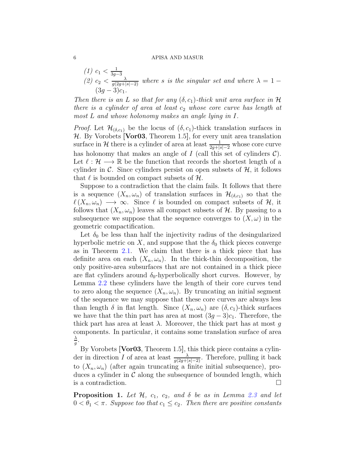(1) 
$$
c_1 < \frac{1}{3g-3}
$$
  
(2)  $c_2 < \frac{\lambda}{g(2g+|s|-2)}$  where *s* is the singular set and where  $\lambda = 1 - (3g-3)c_1$ .

Then there is an L so that for any  $(\delta, c_1)$ -thick unit area surface in H there is a cylinder of area at least  $c_2$  whose core curve has length at most L and whose holonomy makes an angle lying in I.

*Proof.* Let  $\mathcal{H}_{(\delta,c_1)}$  be the locus of  $(\delta, c_1)$ -thick translation surfaces in  $H.$  By Vorobets [\[Vor03](#page-29-15), Theorem 1.5], for every unit area translation surface in H there is a cylinder of area at least  $\frac{1}{2g+|s|-2}$  whose core curve has holonomy that makes an angle of  $I$  (call this set of cylinders  $\mathcal{C}$ ). Let  $\ell : \mathcal{H} \longrightarrow \mathbb{R}$  be the function that records the shortest length of a cylinder in C. Since cylinders persist on open subsets of  $H$ , it follows that  $\ell$  is bounded on compact subsets of  $\mathcal{H}$ .

Suppose to a contradiction that the claim fails. It follows that there is a sequence  $(X_n, \omega_n)$  of translation surfaces in  $\mathcal{H}_{(\delta,c_1)}$  so that the  $\ell(X_n, \omega_n) \longrightarrow \infty$ . Since  $\ell$  is bounded on compact subsets of  $\mathcal{H}$ , it follows that  $(X_n, \omega_n)$  leaves all compact subsets of H. By passing to a subsequence we suppose that the sequence converges to  $(X, \omega)$  in the geometric compactification.

Let  $\delta_0$  be less than half the injectivity radius of the desingularized hyperbolic metric on X, and suppose that the  $\delta_0$  thick pieces converge as in Theorem [2.1.](#page-3-0) We claim that there is a thick piece that has definite area on each  $(X_n, \omega_n)$ . In the thick-thin decomposition, the only positive-area subsurfaces that are not contained in a thick piece are flat cylinders around  $\delta_0$ -hyperbolically short curves. However, by Lemma [2.2](#page-3-1) these cylinders have the length of their core curves tend to zero along the sequence  $(X_n, \omega_n)$ . By truncating an initial segment of the sequence we may suppose that these core curves are always less than length  $\delta$  in flat length. Since  $(X_n, \omega_n)$  are  $(\delta, c_1)$ -thick surfaces we have that the thin part has area at most  $(3g-3)c_1$ . Therefore, the thick part has area at least  $\lambda$ . Moreover, the thick part has at most q components. In particular, it contains some translation surface of area  $\lambda$  $\frac{\lambda}{g}$  .

By Vorobets [**Vor03**, Theorem 1.5], this thick piece contains a cylinder in direction I of area at least  $\frac{\lambda}{g(2g+|s|-2)}$ . Therefore, pulling it back to  $(X_n, \omega_n)$  (after again truncating a finite initial subsequence), produces a cylinder in  $C$  along the subsequence of bounded length, which is a contradiction. is a contradiction.

<span id="page-5-0"></span>**Proposition 1.** Let  $H$ ,  $c_1$ ,  $c_2$ , and  $\delta$  be as in Lemma [2.3](#page-4-0) and let  $0 < \theta_1 < \pi$ . Suppose too that  $c_1 \leq c_2$ . Then there are positive constants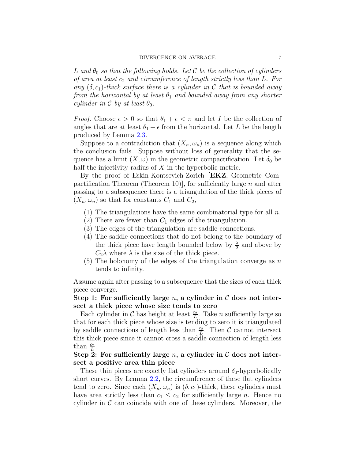L and  $\theta_0$  so that the following holds. Let C be the collection of cylinders of area at least  $c_2$  and circumference of length strictly less than L. For any  $(\delta, c_1)$ -thick surface there is a cylinder in C that is bounded away from the horizontal by at least  $\theta_1$  and bounded away from any shorter cylinder in  $\mathcal C$  by at least  $\theta_0$ .

*Proof.* Choose  $\epsilon > 0$  so that  $\theta_1 + \epsilon < \pi$  and let I be the collection of angles that are at least  $\theta_1 + \epsilon$  from the horizontal. Let L be the length produced by Lemma [2.3.](#page-4-0)

Suppose to a contradiction that  $(X_n, \omega_n)$  is a sequence along which the conclusion fails. Suppose without loss of generality that the sequence has a limit  $(X, \omega)$  in the geometric compactification. Let  $\delta_0$  be half the injectivity radius of X in the hyperbolic metric.

By the proof of Eskin-Kontsevich-Zorich [\[EKZ](#page-29-11), Geometric Compactification Theorem (Theorem 10)], for sufficiently large  $n$  and after passing to a subsequence there is a triangulation of the thick pieces of  $(X_n, \omega_n)$  so that for constants  $C_1$  and  $C_2$ ,

- (1) The triangulations have the same combinatorial type for all  $n$ .
- (2) There are fewer than  $C_1$  edges of the triangulation.
- (3) The edges of the triangulation are saddle connections.
- (4) The saddle connections that do not belong to the boundary of the thick piece have length bounded below by  $\frac{\lambda}{2}$  and above by  $C_2\lambda$  where  $\lambda$  is the size of the thick piece.
- (5) The holonomy of the edges of the triangulation converge as  $n$ tends to infinity.

Assume again after passing to a subsequence that the sizes of each thick piece converge.

## Step 1: For sufficiently large n, a cylinder in  $\mathcal C$  does not intersect a thick piece whose size tends to zero

Each cylinder in  $\mathcal C$  has height at least  $\frac{c_2}{L}$ . Take *n* sufficiently large so that for each thick piece whose size is tending to zero it is triangulated by saddle connections of length less than  $\frac{c_2}{L}$ . Then C cannot intersect this thick piece since it cannot cross a saddle connection of length less than  $\frac{c_2}{L}$ .

Step 2: For sufficiently large n, a cylinder in  $\mathcal C$  does not intersect a positive area thin piece

These thin pieces are exactly flat cylinders around  $\delta_0$ -hyperbolically short curves. By Lemma [2.2,](#page-3-1) the circumference of these flat cylinders tend to zero. Since each  $(X_n, \omega_n)$  is  $(\delta, c_1)$ -thick, these cylinders must have area strictly less than  $c_1 \leq c_2$  for sufficiently large *n*. Hence no cylinder in  $\mathcal C$  can coincide with one of these cylinders. Moreover, the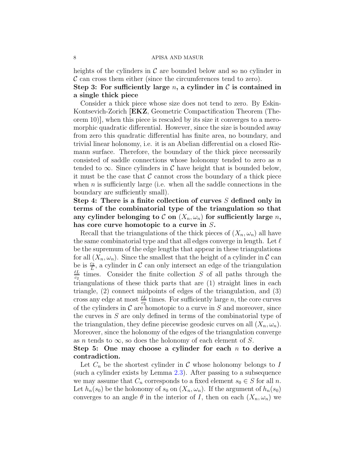heights of the cylinders in  $\mathcal C$  are bounded below and so no cylinder in  $\mathcal C$  can cross them either (since the circumferences tend to zero).

## Step 3: For sufficiently large n, a cylinder in  $\mathcal C$  is contained in a single thick piece

Consider a thick piece whose size does not tend to zero. By Eskin-Kontsevich-Zorich [\[EKZ](#page-29-11), Geometric Compactification Theorem (Theorem 10)], when this piece is rescaled by its size it converges to a meromorphic quadratic differential. However, since the size is bounded away from zero this quadratic differential has finite area, no boundary, and trivial linear holonomy, i.e. it is an Abelian differential on a closed Riemann surface. Therefore, the boundary of the thick piece necessarily consisted of saddle connections whose holonomy tended to zero as  $n$ tended to  $\infty$ . Since cylinders in C have height that is bounded below, it must be the case that  $\mathcal C$  cannot cross the boundary of a thick piece when  $n$  is sufficiently large (i.e. when all the saddle connections in the boundary are sufficiently small).

Step 4: There is a finite collection of curves  $S$  defined only in terms of the combinatorial type of the triangulation so that any cylinder belonging to  $\mathcal C$  on  $(X_n, \omega_n)$  for sufficiently large n, has core curve homotopic to a curve in S.

Recall that the triangulations of the thick pieces of  $(X_n, \omega_n)$  all have the same combinatorial type and that all edges converge in length. Let  $\ell$ be the supremum of the edge lengths that appear in these triangulations for all  $(X_n, \omega_n)$ . Since the smallest that the height of a cylinder in C can be is  $\frac{c_2}{L}$ , a cylinder in C can only intersect an edge of the triangulation  $\ell L$  $\frac{e}{c_2}$  times. Consider the finite collection S of all paths through the triangulations of these thick parts that are (1) straight lines in each triangle, (2) connect midpoints of edges of the triangulation, and (3) cross any edge at most  $\frac{\ell L}{c_2}$  times. For sufficiently large n, the core curves of the cylinders in  $\mathcal C$  are homotopic to a curve in S and moreover, since the curves in S are only defined in terms of the combinatorial type of the triangulation, they define piecewise geodesic curves on all  $(X_n, \omega_n)$ . Moreover, since the holonomy of the edges of the triangulation converge as *n* tends to  $\infty$ , so does the holonomy of each element of S.

## Step 5: One may choose a cylinder for each  $n$  to derive a contradiction.

Let  $C_n$  be the shortest cylinder in C whose holonomy belongs to I (such a cylinder exists by Lemma [2.3\)](#page-4-0). After passing to a subsequence we may assume that  $C_n$  corresponds to a fixed element  $s_0 \in S$  for all n. Let  $h_n(s_0)$  be the holonomy of  $s_0$  on  $(X_n, \omega_n)$ . If the argument of  $h_n(s_0)$ converges to an angle  $\theta$  in the interior of I, then on each  $(X_n, \omega_n)$  we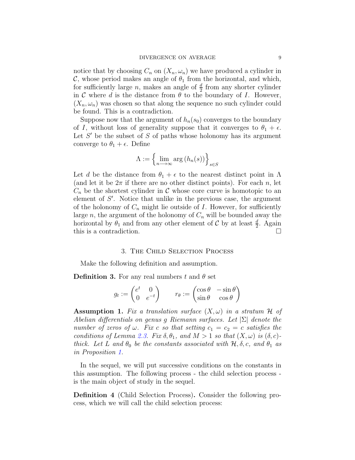notice that by choosing  $C_n$  on  $(X_n, \omega_n)$  we have produced a cylinder in C, whose period makes an angle of  $\theta_1$  from the horizontal, and which, for sufficiently large *n*, makes an angle of  $\frac{d}{2}$  from any shorter cylinder in C where d is the distance from  $\theta$  to the boundary of I. However,  $(X_n, \omega_n)$  was chosen so that along the sequence no such cylinder could be found. This is a contradiction.

Suppose now that the argument of  $h_n(s_0)$  converges to the boundary of I, without loss of generality suppose that it converges to  $\theta_1 + \epsilon$ . Let  $S'$  be the subset of  $S$  of paths whose holonomy has its argument converge to  $\theta_1 + \epsilon$ . Define

$$
\Lambda := \left\{ \lim_{n \to \infty} \arg \left( h_n(s) \right) \right\}_{s \in S}
$$

Let d be the distance from  $\theta_1 + \epsilon$  to the nearest distinct point in  $\Lambda$ (and let it be  $2\pi$  if there are no other distinct points). For each n, let  $C_n$  be the shortest cylinder in C whose core curve is homotopic to an element of S'. Notice that unlike in the previous case, the argument of the holonomy of  $C_n$  might lie outside of I. However, for sufficiently large n, the argument of the holonomy of  $C_n$  will be bounded away the horizontal by  $\theta_1$  and from any other element of C by at least  $\frac{d}{2}$ . Again this is a contradiction.

#### 3. The Child Selection Process

Make the following definition and assumption.

**Definition 3.** For any real numbers t and  $\theta$  set

$$
g_t := \begin{pmatrix} e^t & 0 \\ 0 & e^{-t} \end{pmatrix} \qquad r_\theta := \begin{pmatrix} \cos \theta & -\sin \theta \\ \sin \theta & \cos \theta \end{pmatrix}
$$

<span id="page-8-0"></span>**Assumption 1.** Fix a translation surface  $(X, \omega)$  in a stratum H of Abelian differentials on genus g Riemann surfaces. Let  $|\Sigma|$  denote the number of zeros of  $\omega$ . Fix c so that setting  $c_1 = c_2 = c$  satisfies the conditions of Lemma [2.3.](#page-4-0) Fix  $\delta, \theta_1$ , and  $M > 1$  so that  $(X, \omega)$  is  $(\delta, c)$ thick. Let L and  $\theta_0$  be the constants associated with  $\mathcal{H}, \delta, c$ , and  $\theta_1$  as in Proposition [1.](#page-5-0)

In the sequel, we will put successive conditions on the constants in this assumption. The following process - the child selection process is the main object of study in the sequel.

<span id="page-8-1"></span>Definition 4 (Child Selection Process). Consider the following process, which we will call the child selection process: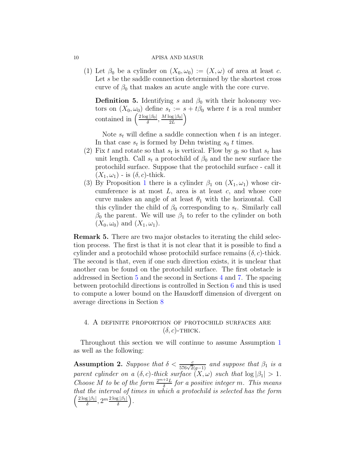(1) Let  $\beta_0$  be a cylinder on  $(X_0, \omega_0) := (X, \omega)$  of area at least c. Let s be the saddle connection determined by the shortest cross curve of  $\beta_0$  that makes an acute angle with the core curve.

**Definition 5.** Identifying s and  $\beta_0$  with their holonomy vectors on  $(X_0, \omega_0)$  define  $s_t := s + t\beta_0$  where t is a real number contained in  $\left(\frac{2\log|\beta_0|}{\delta}, \frac{M\log|\beta_0|}{2L}\right)$ 

Note  $s_t$  will define a saddle connection when t is an integer. In that case  $s_t$  is formed by Dehn twisting  $s_0$  t times.

- (2) Fix t and rotate so that  $s_t$  is vertical. Flow by  $g_t$  so that  $s_t$  has unit length. Call  $s_t$  a protochild of  $\beta_0$  and the new surface the protochild surface. Suppose that the protochild surface - call it  $(X_1, \omega_1)$  - is  $(\delta, c)$ -thick.
- (3) By Proposition [1](#page-5-0) there is a cylinder  $\beta_1$  on  $(X_1, \omega_1)$  whose circumference is at most  $L$ , area is at least  $c$ , and whose core curve makes an angle of at least  $\theta_1$  with the horizontal. Call this cylinder the child of  $\beta_0$  corresponding to  $s_t$ . Similarly call  $\beta_0$  the parent. We will use  $\beta_1$  to refer to the cylinder on both  $(X_0, \omega_0)$  and  $(X_1, \omega_1)$ .

Remark 5. There are two major obstacles to iterating the child selection process. The first is that it is not clear that it is possible to find a cylinder and a protochild whose protochild surface remains  $(\delta, c)$ -thick. The second is that, even if one such direction exists, it is unclear that another can be found on the protochild surface. The first obstacle is addressed in Section [5](#page-13-0) and the second in Sections [4](#page-9-0) and [7.](#page-20-0) The spacing between protochild directions is controlled in Section [6](#page-17-0) and this is used to compute a lower bound on the Hausdorff dimension of divergent on average directions in Section [8](#page-24-0)

# <span id="page-9-0"></span>4. A definite proportion of protochild surfaces are  $(\delta, c)$ -THICK.

Throughout this section we will continue to assume Assumption [1](#page-8-0) as well as the following:

<span id="page-9-1"></span>Assumption 2. Suppose that  $\delta < \frac{c}{576\sqrt{2}(g-1)}$  and suppose that  $\beta_1$  is a parent cylinder on a  $(\delta, c)$ -thick surface  $(X, \omega)$  such that  $\log |\beta_1| > 1$ . Choose M to be of the form  $\frac{2^{m+2}L}{\delta}$  for a positive integer m. This means that the interval of times in which a protochild is selected h as the form  $\left(\frac{2\log|\beta_1|}{\delta}, 2^m \frac{2\log|\beta_1|}{\delta}\right)$ .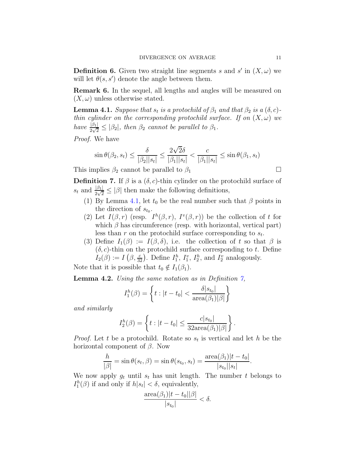**Definition 6.** Given two straight line segments s and s' in  $(X, \omega)$  we will let  $\theta(s, s')$  denote the angle between them.

Remark 6. In the sequel, all lengths and angles will be measured on  $(X, \omega)$  unless otherwise stated.

<span id="page-10-0"></span>**Lemma 4.1.** Suppose that  $s_t$  is a protochild of  $\beta_1$  and that  $\beta_2$  is a  $(\delta, c)$ thin cylinder on the corresponding protochild surface. If on  $(X, \omega)$  we have  $\frac{|\beta_1|}{2\sqrt{2}} \leq |\beta_2|$ , then  $\beta_2$  cannot be parallel to  $\beta_1$ .

Proof. We have

$$
\sin \theta(\beta_2, s_t) \le \frac{\delta}{|\beta_2||s_t|} \le \frac{2\sqrt{2}\delta}{|\beta_1||s_t|} < \frac{c}{|\beta_1||s_t|} \le \sin \theta(\beta_1, s_t)
$$

This implies  $\beta_2$  cannot be parallel to  $\beta_1$ 

<span id="page-10-1"></span>**Definition 7.** If  $\beta$  is a  $(\delta, c)$ -thin cylinder on the protochild surface of  $s_t$  and  $\frac{|\beta_1|}{2\sqrt{2}} \leq |\beta|$  then make the following definitions,

- (1) By Lemma [4.1,](#page-10-0) let  $t_0$  be the real number such that  $\beta$  points in the direction of  $s_{t_0}$ .
- (2) Let  $I(\beta, r)$  (resp.  $I^h(\beta, r)$ ,  $I^v(\beta, r)$ ) be the collection of t for which  $\beta$  has circumference (resp. with horizontal, vertical part) less than  $r$  on the protochild surface corresponding to  $s_t$ .
- (3) Define  $I_1(\beta) := I(\beta, \delta)$ , i.e. the collection of t so that  $\beta$  is  $(\delta, c)$ -thin on the protochild surface corresponding to t. Define  $I_2(\beta) := I(\beta, \frac{c}{32})$ . Define  $I_1^h$ ,  $I_1^v$ ,  $I_2^h$ , and  $I_2^v$  analogously.

Note that it is possible that  $t_0 \notin I_1(\beta_1)$ .

<span id="page-10-2"></span>**Lemma 4.2.** Using the same notation as in Definition  $\gamma$ ,

$$
I_1^h(\beta) = \left\{ t : |t - t_0| < \frac{\delta |s_{t_0}|}{\text{area}(\beta_1)|\beta|} \right\}
$$

and similarly

$$
I_2^h(\beta) = \left\{ t : |t - t_0| \leq \frac{c|s_{t_0}|}{32 \text{area}(\beta_1)|\beta|} \right\}.
$$

*Proof.* Let t be a protochild. Rotate so  $s_t$  is vertical and let h be the horizontal component of  $\beta$ . Now

$$
\frac{h}{|\beta|} = \sin \theta(s_t, \beta) = \sin \theta(s_{t_0}, s_t) = \frac{\text{area}(\beta_1)|t - t_0|}{|s_{t_0}||s_t|}.
$$

We now apply  $g_t$  until  $s_t$  has unit length. The number t belongs to  $I_1^h(\beta)$  if and only if  $h|s_t| < \delta$ , equivalently,

$$
\frac{\text{area}(\beta_1)|t-t_0||\beta|}{|s_{t_0}|}<\delta.
$$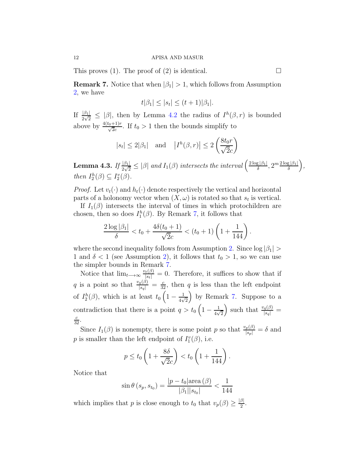This proves (1). The proof of (2) is identical.  $\square$ 

<span id="page-11-0"></span>**Remark 7.** Notice that when  $|\beta_1| > 1$ , which follows from Assumption [2,](#page-9-1) we have

$$
t|\beta_1| \leq |s_t| \leq (t+1)|\beta_1|.
$$

If  $\frac{|\beta_1|}{2\sqrt{2}} \leq |\beta|$ , then by Lemma [4.2](#page-10-2) the radius of  $I^h(\beta,r)$  is bounded above by  $\frac{4(t_0+1)r}{\sqrt{2c}}$ . If  $t_0 > 1$  then the bounds simplify to

$$
|s_t| \le 2|\beta_1|
$$
 and  $|I^h(\beta, r)| \le 2\left(\frac{8t_0r}{\sqrt{2}c}\right)$ 

<span id="page-11-1"></span>**Lemma 4.3.** If  $\frac{|\beta_1|}{2\sqrt{2}} \leq |\beta|$  and  $I_1(\beta)$  intersects the interval  $\left(\frac{2\log|\beta_1|}{\delta}, 2^m \frac{2\log|\beta_1|}{\delta}\right)$ , then  $I_2^h(\beta) \subseteq I_2^v(\beta)$ .

*Proof.* Let  $v_t(\cdot)$  and  $h_t(\cdot)$  denote respectively the vertical and horizontal parts of a holonomy vector when  $(X, \omega)$  is rotated so that  $s_t$  is vertical.

If  $I_1(\beta)$  intersects the interval of times in which protochildren are chosen, then so does  $I_1^h(\beta)$ . By Remark [7,](#page-11-0) it follows that

$$
\frac{2\log|\beta_1|}{\delta} < t_0 + \frac{4\delta(t_0 + 1)}{\sqrt{2}c} < (t_0 + 1)\left(1 + \frac{1}{144}\right).
$$

where the second inequality follows from Assumption [2.](#page-9-1) Since  $\log |\beta_1|$ 1 and  $\delta$  < 1 (see Assumption [2\)](#page-9-1), it follows that  $t_0 > 1$ , so we can use the simpler bounds in Remark [7.](#page-11-0)

Notice that  $\lim_{t\to\infty} \frac{v_t(\beta)}{|s_t|} = 0$ . Therefore, it suffices to show that if q is a point so that  $\frac{v_q(\beta)}{|s_q|} = \frac{c}{32}$ , then q is less than the left endpoint of  $I_2^h(\beta)$ , which is at least  $t_0\left(1-\frac{1}{4\nu}\right)$  $\frac{1}{4\sqrt{2}}$  by Remark [7.](#page-11-0) Suppose to a contradiction that there is a point  $q > t_0 \left(1 - \frac{1}{4\sqrt{1-\frac{1}{4}}}\right)$  $\frac{1}{4\sqrt{2}}$ ) such that  $\frac{v_q(\beta)}{|s_q|} =$  $rac{c}{32}$ .

Since  $I_1(\beta)$  is nonempty, there is some point p so that  $\frac{v_p(\beta)}{|s_p|} = \delta$  and p is smaller than the left endpoint of  $I_1^v(\beta)$ , i.e.

$$
p \le t_0 \left(1 + \frac{8\delta}{\sqrt{2}c}\right) < t_0 \left(1 + \frac{1}{144}\right).
$$

Notice that

$$
\sin \theta (s_p, s_{t_0}) = \frac{|p - t_0| \text{area} (\beta)}{|\beta_1| |s_{t_0}|} < \frac{1}{144}
$$

which implies that p is close enough to  $t_0$  that  $v_p(\beta) \geq \frac{|\beta|}{2}$ .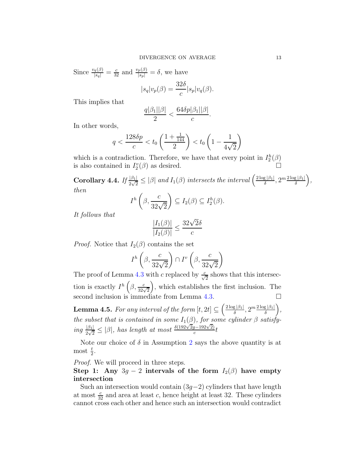Since  $\frac{v_q(\beta)}{|s_q|} = \frac{c}{32}$  and  $\frac{v_p(\beta)}{|s_p|} = \delta$ , we have

$$
|s_q|v_p(\beta) = \frac{32\delta}{c}|s_p|v_q(\beta).
$$

This implies that

$$
\frac{q|\beta_1||\beta|}{2} < \frac{64\delta p|\beta_1||\beta|}{c}.
$$

In other words,

$$
q < \frac{128\delta p}{c} < t_0 \left(\frac{1 + \frac{1}{144}}{2}\right) < t_0 \left(1 - \frac{1}{4\sqrt{2}}\right)
$$

which is a contradiction. Therefore, we have that every point in  $I_2^h(\beta)$ is also contained in  $I_2^v(\beta)$  as desired.

<span id="page-12-0"></span>**Corollary 4.4.** If  $\frac{|\beta_1|}{2\sqrt{2}} \leq |\beta|$  and  $I_1(\beta)$  intersects the interval  $\left(\frac{2\log|\beta_1|}{\delta}, 2^m \frac{2\log|\beta_1|}{\delta}\right)$ , then

$$
I^h\left(\beta,\frac{c}{32\sqrt{2}}\right) \subseteq I_2(\beta) \subseteq I_2^h(\beta).
$$

It follows that

$$
\frac{|I_1(\beta)|}{|I_2(\beta)|} \le \frac{32\sqrt{2}\delta}{c}
$$

*Proof.* Notice that  $I_2(\beta)$  contains the set

$$
I^h\left(\beta, \frac{c}{32\sqrt{2}}\right) \cap I^v\left(\beta, \frac{c}{32\sqrt{2}}\right)
$$

The proof of Lemma [4.3](#page-11-1) with c replaced by  $\frac{c}{\sqrt{2}}$  shows that this intersection is exactly  $I^h\left(\beta, \frac{c}{32\sqrt{2}}\right)$  , which establishes the first inclusion. The second inclusion is immediate from Lemma [4.3.](#page-11-1)

<span id="page-12-1"></span>**Lemma 4.5.** For any interval of the form  $[t, 2t] \subseteq \left(\frac{2\log|\beta_1|}{\delta}, 2^m \frac{2\log|\beta_1|}{\delta}\right)$ , the subset that is contained in some  $I_1(\beta)$ , for some cylinder  $\beta$  satisfy- $\frac{|\beta_1|}{2\sqrt{2}} \leq |\beta|$ , has length at most  $\frac{\delta(192\sqrt{2}g-192\sqrt{2})}{c}$  $rac{g-192\sqrt{2}}{c}t$ 

Note our choice of  $\delta$  in Assumption [2](#page-9-1) says the above quantity is at most  $\frac{t}{2}$ .

Proof. We will proceed in three steps.

Step 1: Any  $3g - 2$  intervals of the form  $I_2(\beta)$  have empty intersection

Such an intersection would contain  $(3g-2)$  cylinders that have length at most  $\frac{c}{32}$  and area at least c, hence height at least 32. These cylinders cannot cross each other and hence such an intersection would contradict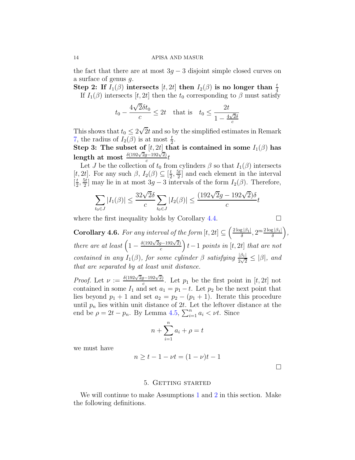the fact that there are at most  $3g - 3$  disjoint simple closed curves on a surface of genus g.

Step 2: If  $I_1(\beta)$  intersects  $[t, 2t]$  then  $I_2(\beta)$  is no longer than  $\frac{t}{4}$ If  $I_1(\beta)$  intersects  $[t, 2t]$  then the  $t_0$  corresponding to  $\beta$  must satisfy

$$
t_0 - \frac{4\sqrt{2}\delta t_0}{c} \leq 2t
$$
 that is  $t_0 \leq \frac{2t}{1 - \frac{4\sqrt{2}\delta}{c}}$ 

This shows that  $t_0 \leq 2\sqrt{2}t$  and so by the simplified estimates in Remark [7,](#page-11-0) the radius of  $I_2(\beta)$  is at most  $\frac{t}{2}$ .

Step 3: The subset of  $[t, 2t]$  that is contained in some  $I_1(\beta)$  has length at most  $\frac{\delta(192\sqrt{2}g-192\sqrt{2})}{c}t$ 

Let J be the collection of  $t_0$  from cylinders  $\beta$  so that  $I_1(\beta)$  intersects  $[t, 2t]$ . For any such  $\beta$ ,  $I_2(\beta) \subseteq [\frac{t}{2}]$  $\frac{t}{2}, \frac{5t}{2}$  $\frac{2}{2}$  and each element in the interval  $\left[\frac{t}{2}\right]$  $\frac{t}{2}, \frac{5t}{2}$  $\frac{2t}{2}$  may lie in at most  $3g - 3$  intervals of the form  $I_2(\beta)$ . Therefore,

$$
\sum_{t_0 \in J} |I_1(\beta)| \le \frac{32\sqrt{2}\delta}{c} \sum_{t_0 \in J} |I_2(\beta)| \le \frac{(192\sqrt{2}g - 192\sqrt{2})\delta}{c}t
$$

where the first inequality holds by Corollary [4.4.](#page-12-0)

$$
\Box_{\varepsilon}
$$

<span id="page-13-1"></span>**Corollary 4.6.** For any interval of the form  $[t, 2t] \subseteq \left(\frac{2\log|\beta_1|}{\delta}, 2^m \frac{2\log|\beta_1|}{\delta}\right)$ , there are at least  $\left(1 - \frac{\delta(192\sqrt{2}g - 192\sqrt{2})}{c}\right)$  $\left(\frac{g-192\sqrt{2}}{c}\right)t-1$  points in  $[t,2t]$  that are not contained in any  $I_1(\beta)$ , for some cylinder  $\beta$  satisfying  $\frac{|\beta_1|}{2\sqrt{2}} \leq |\beta|$ , and that are separated by at least unit distance.

*Proof.* Let  $\nu := \frac{\delta(192\sqrt{2}g - 192\sqrt{2})}{c}$  $\frac{p-192\sqrt{2}}{c}$ . Let  $p_1$  be the first point in  $[t, 2t]$  not contained in some  $I_1$  and set  $a_1 = p_1 - t$ . Let  $p_2$  be the next point that lies beyond  $p_1 + 1$  and set  $a_2 = p_2 - (p_1 + 1)$ . Iterate this procedure until  $p_n$  lies within unit distance of 2t. Let the leftover distance at the end be  $\rho = 2t - p_n$ . By Lemma [4.5,](#page-12-1)  $\sum_{i=1}^n a_i < \nu t$ . Since

$$
n + \sum_{i=1}^{n} a_i + \rho = t
$$

we must have

$$
n \ge t - 1 - \nu t = (1 - \nu)t - 1
$$

 $\Box$ 

### 5. GETTING STARTED

<span id="page-13-0"></span>We will continue to make Assumptions [1](#page-8-0) and [2](#page-9-1) in this section. Make the following definitions.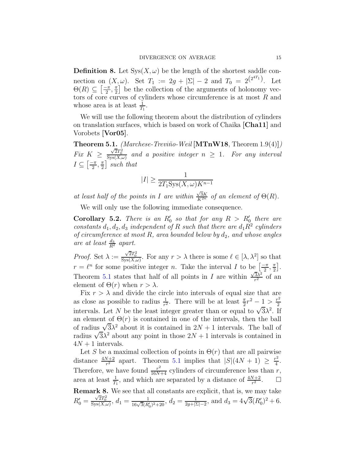**Definition 8.** Let  $Sys(X, \omega)$  be the length of the shortest saddle connection on  $(X, \omega)$ . Set  $T_1 := 2g + |\Sigma| - 2$  and  $T_0 = 2^{(2^{4T_1})}$ . Let  $\Theta(R) \subseteq \left[\frac{-\pi}{2}, \frac{\pi}{2}\right]$  $\frac{\pi}{2}$  be the collection of the arguments of holonomy vectors of core curves of cylinders whose circumference is at most  $R$  and whose area is at least  $\frac{1}{T_1}$ .

We will use the following theorem about the distribution of cylinders on translation surfaces, which is based on work of Chaika [\[Cha11\]](#page-28-3) and Vorobets [\[Vor05\]](#page-30-2).

<span id="page-14-0"></span>**Theorem 5.1.** (Marchese-Treviño-Weil [\[MTnW18](#page-29-16), Theorem  $1.9(4)$ ]) Fix  $K \geq \frac{\sqrt{2}T_0^2}{\mathrm{Sys}(X,\omega)}$  and a positive integer  $n \geq 1$ . For any interval  $I\subseteq\left[\frac{-\pi}{2},\frac{\pi}{2}\right]$  $\frac{\pi}{2}$  such that

$$
|I| \ge \frac{1}{2T_1 \text{Sys}(X, \omega) K^{n-1}}
$$

at least half of the points in I are within  $\frac{\sqrt{3}K}{K^{2n}}$  of an element of  $\Theta(R)$ .

We will only use the following immediate consequence.

<span id="page-14-1"></span>**Corollary 5.2.** There is an  $R'_0$  so that for any  $R > R'_0$  there are constants  $d_1, d_2, d_3$  independent of R such that there are  $d_1R^2$  cylinders of circumference at most R, area bounded below by  $d_2$ , and whose angles are at least  $\frac{d_3}{R^2}$  apart.

*Proof.* Set  $\lambda := \frac{\sqrt{2}T_0^2}{\mathrm{Sys}(X,\omega)}$ . For any  $r > \lambda$  there is some  $\ell \in [\lambda, \lambda^2]$  so that  $r = \ell^n$  for some positive integer n. Take the interval I to be  $\left[\frac{-\pi}{2}, \frac{\pi}{2}\right]$  $\frac{\pi}{2}$ . Theorem [5.1](#page-14-0) states that half of all points in I are within  $\frac{\sqrt{3}\lambda^2}{r^2}$  $\frac{3\lambda^2}{r^2}$  of an element of  $\Theta(r)$  when  $r > \lambda$ .

Fix  $r > \lambda$  and divide the circle into intervals of equal size that are as close as possible to radius  $\frac{1}{r^2}$ . There will be at least  $\frac{\pi}{2}r^2 - \frac{1}{2} > \frac{r^2}{2}$ 2 intervals. Let N be the least integer greater than or equal to  $\sqrt{3}\lambda^2$ . If an element of  $\Theta(r)$  is contained in one of the intervals, then the ball of radius  $\sqrt{3}\lambda^2$  about it is contained in  $2N + 1$  intervals. The ball of radius  $\sqrt{3}\lambda^2$  about any point in those  $2N + 1$  intervals is contained in  $4N + 1$  intervals.

Let S be a maximal collection of points in  $\Theta(r)$  that are all pairwise distance  $\frac{4N+2}{r^2}$  apart. Theorem [5.1](#page-14-0) implies that  $|S|(4N+1) \geq \frac{r^2}{4}$  $\frac{1}{4}$ . Therefore, we have found  $\frac{r^2}{16N+4}$  cylinders of circumference less than r, area at least  $\frac{1}{T_1}$ , and which are separated by a distance of  $\frac{4N+2}{r^2}$ .  $\Box$ Remark 8. We see that all constants are explicit, that is, we may take  $R'_0 = \frac{\sqrt{2}T_0^2}{\text{Sys}(X,\omega)}, d_1 = \frac{1}{16\sqrt{3}(R'_0)^2 + 20}, d_2 = \frac{1}{2g + |\Sigma|}$  $\frac{1}{2g+|\Sigma|-2}$ , and  $d_3 = 4\sqrt{3}(R'_0)^2 + 6$ .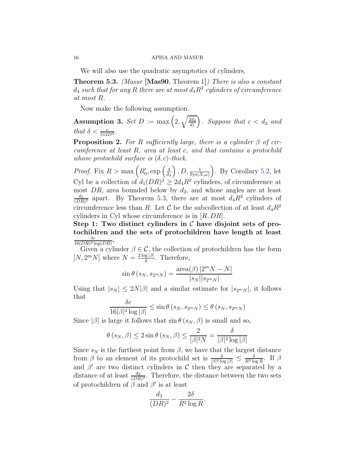We will also use the quadratic asymptotics of cylinders,

<span id="page-15-0"></span>Theorem 5.3. (Masur [\[Mas90](#page-29-17), Theorem 1]) There is also a constant  $d_4$  such that for any  $R$  there are at most  $d_4 R^2$  cylinders of circumference at most R.

Now make the following assumption.

<span id="page-15-1"></span>Assumption 3. Set  $D := \max\left(2, \sqrt{\frac{2d_4}{d_1}}\right)$ . Suppose that  $c < d_2$  and that  $\delta < \frac{c}{512D^4}$ .

<span id="page-15-2"></span>**Proposition 2.** For R sufficiently large, there is a cylinder  $\beta$  of circumference at least R, area at least c, and that contains a protochild whose protochild surface is  $(\delta, c)$ -thick.

*Proof.* Fix  $R > \max\left(R'_0, \exp\left(\frac{4}{d_0}\right)\right)$  $\left(\frac{4}{d_3}\right)$ , D,  $\frac{1}{\text{Sys}(X,\omega)}$ . By Corollary [5.2,](#page-14-1) let Cyl be a collection of  $d_1(DR)^2 \geq 2d_4R^2$  cylinders, of circumference at most  $DR$ , area bounded below by  $d_2$ , and whose angles are at least  $\scriptstyle d_3$  $\frac{d_3}{(DR)^2}$  apart. By Theorem [5.3,](#page-15-0) there are at most  $d_4R^2$  cylinders of circumference less than R. Let C be the subcollection of at least  $d_4R^2$ cylinders in Cyl whose circumference is in  $[R, DR]$ .

Step 1: Two distinct cylinders in  $\mathcal C$  have disjoint sets of protochildren and the sets of protochildren have length at least  $\delta c$  $\frac{\delta c}{16(DR)^2\log(DR)}$ .

Given a cylinder  $\beta \in \mathcal{C}$ , the collection of protochildren has the form [N,  $2^mN$ ] where  $N = \frac{2 \log |\beta|}{\delta}$ . Therefore,

$$
\sin \theta (s_N, s_{2^m N}) = \frac{\text{area}(\beta) |2^m N - N|}{|s_N||s_{2^m N}|}
$$

Using that  $|s_N| \leq 2N|\beta|$  and a similar estimate for  $|s_{2^mN}|$ , it follows that  $\delta$ c

$$
\frac{oc}{16|\beta|^2 \log |\beta|} \le \sin \theta \left(s_N, s_{2^m N}\right) \le \theta \left(s_N, s_{2^m N}\right)
$$

Since  $|\beta|$  is large it follows that  $\sin \theta (s_N, \beta)$  is small and so,

$$
\theta\left(s_N, \beta\right) \le 2\sin\theta\left(s_N, \beta\right) \le \frac{2}{|\beta|^2 N} = \frac{\delta}{|\beta|^2 \log|\beta|}
$$

Since  $s_N$  is the furthest point from  $\beta$ , we have that the largest distance from  $\beta$  to an element of its protochild set is  $\frac{\delta}{|\beta|^2 \log |\beta|} \leq \frac{\delta}{R^2 \log R}$ . If  $\beta$ and  $\beta'$  are two distinct cylinders in C then they are separated by a distance of at least  $\frac{d_3}{(DR)^2}$ . Therefore, the distance between the two sets of protochildren of  $\beta$  and  $\beta'$  is at least

$$
\frac{d_3}{(DR)^2} - \frac{2\delta}{R^2 \log R}.
$$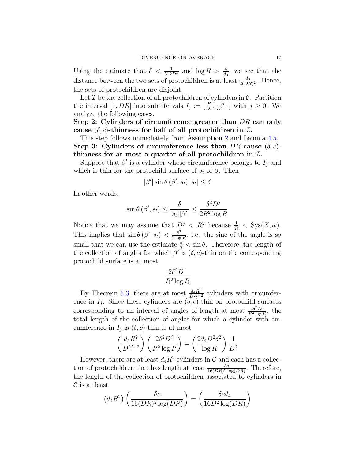Using the estimate that  $\delta < \frac{1}{512D^4}$  and  $\log R > \frac{4}{d_3}$ , we see that the distance between the two sets of protochildren is at least  $\frac{d_3}{2(DR)^2}$ . Hence, the sets of protochildren are disjoint.

Let  $\mathcal I$  be the collection of all protochildren of cylinders in  $\mathcal C$ . Partition the interval [1, DR] into subintervals  $I_j := \left[\frac{R}{D^j}, \frac{R}{D^{j-1}}\right]$  with  $j \geq 0$ . We analyze the following cases.

Step 2: Cylinders of circumference greater than DR can only cause  $(\delta, c)$ -thinness for half of all protochildren in  $\mathcal{I}$ .

This step follows immediately from Assumption [2](#page-9-1) and Lemma [4.5.](#page-12-1) Step 3: Cylinders of circumference less than DR cause  $(\delta, c)$ thinness for at most a quarter of all protochildren in  $I$ .

Suppose that  $\beta'$  is a cylinder whose circumference belongs to  $I_j$  and which is thin for the protochild surface of  $s_t$  of  $\beta$ . Then

$$
|\beta'| \sin \theta (\beta', s_t) |s_t| \le \delta
$$

In other words,

$$
\sin \theta \left( \beta', s_t \right) \le \frac{\delta}{|s_t||\beta'|} \le \frac{\delta^2 D^j}{2R^2 \log R}
$$

Notice that we may assume that  $D^j < R^2$  because  $\frac{1}{R} < \text{Sys}(X, \omega)$ . This implies that  $\sin \theta (\beta', s_t) < \frac{\delta^2}{2 \log t}$  $\frac{\delta^2}{2 \log R}$ , i.e. the sine of the angle is so small that we can use the estimate  $\frac{\theta}{2} < \sin \theta$ . Therefore, the length of the collection of angles for which  $\beta'$  is  $(\delta, c)$ -thin on the corresponding protochild surface is at most

$$
\frac{2\delta^2 D^j}{R^2 \log R}
$$

By Theorem [5.3,](#page-15-0) there are at most  $\frac{d_4R^2}{D^{2j-2}}$  cylinders with circumference in  $I_j$ . Since these cylinders are  $(\delta, c)$ -thin on protochild surfaces corresponding to an interval of angles of length at most  $\frac{2\delta^2 D^j}{B^2 \log D}$  $\frac{2\delta^2 D^J}{R^2 \log R}$ , the total length of the collection of angles for which a cylinder with circumference in  $I_j$  is  $(\delta, c)$ -thin is at most

$$
\left(\frac{d_4 R^2}{D^{2j-2}}\right) \left(\frac{2\delta^2 D^j}{R^2 \log R}\right) = \left(\frac{2d_4 D^2 \delta^2}{\log R}\right) \frac{1}{D^j}
$$

However, there are at least  $d_4R^2$  cylinders in C and each has a collection of protochildren that has length at least  $\frac{\delta c}{16(DR)^2 \log(DR)}$ . Therefore, the length of the collection of protochildren associated to cylinders in  $\mathcal C$  is at least

$$
(d_4R^2)\left(\frac{\delta c}{16(DR)^2\log(DR)}\right) = \left(\frac{\delta c d_4}{16D^2\log(DR)}\right)
$$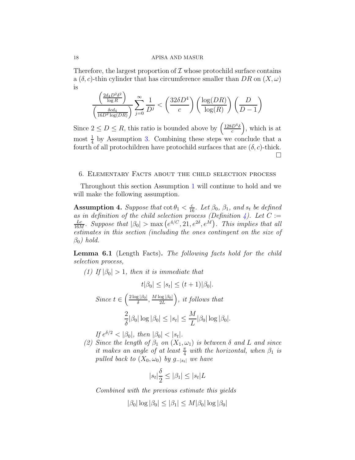Therefore, the largest proportion of  $\mathcal I$  whose protochild surface contains a  $(\delta, c)$ -thin cylinder that has circumference smaller than DR on  $(X, \omega)$ is

$$
\frac{\left(\frac{2d_4D^2\delta^2}{\log R}\right)}{\left(\frac{\delta c d_4}{16D^2\log(DR)}\right)}\sum_{j=0}^{\infty}\frac{1}{D^j}<\left(\frac{32\delta D^4}{c}\right)\left(\frac{\log(DR)}{\log(R)}\right)\left(\frac{D}{D-1}\right)
$$

Since  $2 \le D \le R$ , this ratio is bounded above by  $\left(\frac{128D^4\delta}{c}\right)$  $\left(\frac{D^4\delta}{c}\right)$ , which is at most  $\frac{1}{4}$  by Assumption [3.](#page-15-1) Combining these steps we conclude that a fourth of all protochildren have protochild surfaces that are  $(\delta, c)$ -thick.  $\Box$ 

### <span id="page-17-0"></span>6. Elementary Facts about the child selection process

Throughout this section Assumption [1](#page-8-0) will continue to hold and we will make the following assumption.

<span id="page-17-4"></span>**Assumption 4.** Suppose that  $\cot \theta_1 < \frac{c}{16}$ . Let  $\beta_0$ ,  $\beta_1$ , and  $s_t$  be defined as in definition of the child selection process (Definition [4\)](#page-8-1). Let  $C :=$ Lc  $\frac{Lc}{16M}$ . Suppose that  $|\beta_0| > \max(e^{4/C}, 21, e^{2\delta}, e^M)$ . This implies that all estimates in this section (including the ones contingent on the size of  $\beta_0$ ) hold.

<span id="page-17-3"></span><span id="page-17-2"></span>Lemma 6.1 (Length Facts). The following facts hold for the child selection process,

(1) If  $|\beta_0| > 1$ , then it is immediate that

$$
t|\beta_0| \le |s_t| \le (t+1)|\beta_0|.
$$
  
Since  $t \in \left(\frac{2\log|\beta_0|}{\delta}, \frac{M\log|\beta_0|}{2L}\right)$ , it follows that  

$$
\frac{2}{\delta}|\beta_0|\log|\beta_0| \le |s_t| \le \frac{M}{L}|\beta_0|\log|\beta_0|.
$$

 $\textit{If } e^{\delta/2} < |\beta_0|, \textit{ then } |\beta_0| < |s_t|.$ 

<span id="page-17-1"></span>(2) Since the length of  $\beta_1$  on  $(X_1,\omega_1)$  is between  $\delta$  and  $L$  and since it makes an angle of at least  $\frac{\pi}{4}$  with the horizontal, when  $\beta_1$  is pulled back to  $(X_0, \omega_0)$  by  $g_{-|s_t|}$  we have

$$
|s_t| \frac{\delta}{2} \le |\beta_1| \le |s_t| L
$$

Combined with the previous estimate this yields

$$
|\beta_0| \log |\beta_0| \le |\beta_1| \le M |\beta_0| \log |\beta_0|
$$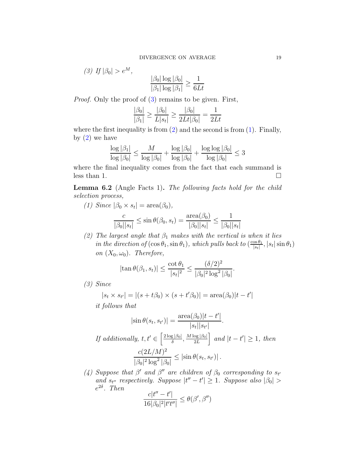1  $6Lt$ 

 $|\beta_0| \log |\beta_0|$  $\sqrt{|\beta_1| \log |\beta_1|} \leq$ 

<span id="page-18-0"></span>
$$
(3) \text{ If } |\beta_0| > e^M,
$$

*Proof.* Only the proof of  $(3)$  remains to be given. First,

$$
\frac{|\beta_0|}{|\beta_1|} \ge \frac{|\beta_0|}{L|s_t|} \ge \frac{|\beta_0|}{2Lt|\beta_0|} = \frac{1}{2Lt}
$$

where the first inequality is from  $(2)$  and the second is from  $(1)$ . Finally, by  $(2)$  we have

$$
\frac{\log |\beta_1|}{\log |\beta_0|} \le \frac{M}{\log |\beta_0|} + \frac{\log |\beta_0|}{\log |\beta_0|} + \frac{\log \log |\beta_0|}{\log |\beta_0|} \le 3
$$

where the final inequality comes from the fact that each summand is less than 1.  $\Box$ 

<span id="page-18-5"></span><span id="page-18-4"></span>Lemma 6.2 (Angle Facts 1). The following facts hold for the child selection process,

(1) Since  $|\beta_0 \times s_t| = \text{area}(\beta_0)$ ,

$$
\frac{c}{|\beta_0||s_t|} \le \sin \theta(\beta_0, s_t) = \frac{\text{area}(\beta_0)}{|\beta_0||s_t|} \le \frac{1}{|\beta_0||s_t|}
$$

<span id="page-18-2"></span>(2) The largest angle that  $\beta_1$  makes with the vertical is when it lies in the direction of  $(\cos \theta_1, \sin \theta_1)$ , which pulls back to  $(\frac{\cos \theta_1}{|s_t|})$  $\frac{\cos \theta_1}{|s_t|}, |s_t| \sin \theta_1)$ on  $(X_0, \omega_0)$ . Therefore,

$$
|\tan \theta(\beta_1, s_t)| \leq \frac{\cot \theta_1}{|s_t|^2} \leq \frac{(\delta/2)^2}{|\beta_0|^2 \log^2 |\beta_0|}.
$$

<span id="page-18-3"></span>(3) Since

$$
|s_t \times s_{t'}| = |(s + t\beta_0) \times (s + t'\beta_0)| = \text{area}(\beta_0)|t - t'|
$$

it follows that

$$
|\sin \theta(s_t, s_{t'})| = \frac{\text{area}(\beta_0)|t - t'|}{|s_t||s_{t'}|}.
$$
  
If additionally,  $t, t' \in \left[\frac{2\log|\beta_0|}{\delta}, \frac{M\log|\beta_0|}{2L}\right]$  and  $|t - t'| \ge 1$ , then  

$$
\frac{c(2L/M)^2}{|\beta_0|^2 \log^2 |\beta_0|} \le |\sin \theta(s_t, s_{t'})|.
$$

<span id="page-18-1"></span>(4) Suppose that  $\beta'$  and  $\beta''$  are children of  $\beta_0$  corresponding to  $s_{t'}$ and  $s_{t''}$  respectively. Suppose  $|t'' - t'| \geq 1$ . Suppose also  $|\beta_0| >$  $e^{2\delta}$ . Then

$$
\frac{c|t'' - t'|}{16|\beta_0|^2|t't''|} \le \theta(\beta', \beta'')
$$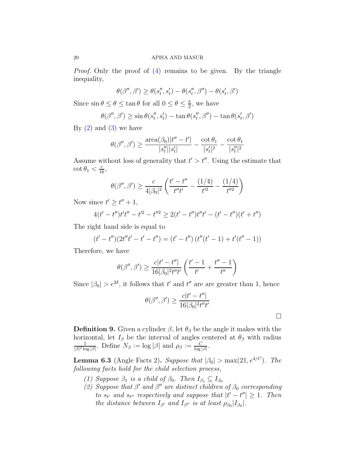Proof. Only the proof of [\(4\)](#page-18-1) remains to be given. By the triangle inequality,

$$
\theta(\beta'', \beta') \ge \theta(s_t'', s_t') - \theta(s_t'', \beta'') - \theta(s_t', \beta')
$$

Since  $\sin \theta \le \theta \le \tan \theta$  for all  $0 \le \theta \le \frac{\pi}{2}$  $\frac{\pi}{2}$ , we have

$$
\theta(\beta'', \beta') \ge \sin \theta(s_t'', s_t') - \tan \theta(s_t'', \beta'') - \tan \theta(s_t', \beta')
$$

By  $(2)$  and  $(3)$  we have

$$
\theta(\beta'', \beta') \ge \frac{\text{area}(\beta_0)|t'' - t'|}{|s_t''||s_t'|} - \frac{\cot \theta_1}{|s_t'|^2} - \frac{\cot \theta_1}{|s_t''|^2}
$$

Assume without loss of generality that  $t' > t''$ . Using the estimate that  $\cot \theta_1 < \frac{c}{16}$ 

$$
\theta(\beta'', \beta') \ge \frac{c}{4|\beta_0|^2} \left( \frac{t'-t''}{t''t'} - \frac{(1/4)}{t'^2} - \frac{(1/4)}{t''^2} \right)
$$

Now since  $t' \geq t'' + 1$ ,

$$
4(t'-t'')t't'' - t'^2 - t''^2 \ge 2(t'-t'')t''t' - (t'-t'')(t'+t'')
$$

The right hand side is equal to

$$
(t'-t'')(2t''t'-t'-t'') = (t'-t'')(t''(t'-1)+t'(t''-1))
$$

Therefore, we have

$$
\theta(\beta'', \beta') \ge \frac{c|t'-t''|}{16|\beta_0|^2 t''t'} \left(\frac{t'-1}{t'} + \frac{t''-1}{t''}\right)
$$

Since  $|\beta_0| > e^{2\delta}$ , it follows that  $t'$  and  $t''$  are are greater than 1, hence

$$
\theta(\beta'', \beta') \ge \frac{c|t'-t''|}{16|\beta_0|^2 t''t'}
$$

**Definition 9.** Given a cylinder  $\beta$ , let  $\theta_{\beta}$  be the angle it makes with the horizontal, let  $I_\beta$  be the interval of angles centered at  $\theta_\beta$  with radius 1  $\frac{1}{|\beta|^2 \log |\beta|}$ . Define  $N_\beta := \log |\beta|$  and  $\rho_\beta := \frac{C}{\log |\beta|}$ .

<span id="page-19-2"></span><span id="page-19-0"></span>**Lemma 6.3** (Angle Facts 2). Suppose that  $|\beta_0| > \max(21, e^{4/C})$ . The following facts hold for the child selection process,

- <span id="page-19-1"></span>(1) Suppose  $\beta_1$  is a child of  $\beta_0$ . Then  $I_{\beta_1} \subseteq I_{\beta_0}$
- (2) Suppose that  $\beta'$  and  $\beta''$  are distinct children of  $\beta_0$  corresponding to  $s_{t'}$  and  $s_{t''}$  respectively and suppose that  $|t'-t''| \geq 1$ . Then the distance between  $I_{\beta'}$  and  $I_{\beta''}$  is at least  $\rho_{\beta_0}|I_{\beta_0}|$ .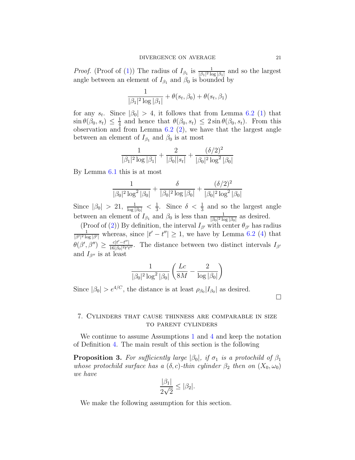*Proof.* (Proof of [\(1\)](#page-19-0)) The radius of  $I_{\beta_1}$  is  $\frac{1}{|\beta_1|^2 \log |\beta_1|}$  and so the largest angle between an element of  $I_{\beta_1}$  and  $\beta_0$  is bounded by

$$
\frac{1}{|\beta_1|^2 \log |\beta_1|} + \theta(s_t, \beta_0) + \theta(s_t, \beta_1)
$$

for any  $s_t$ . Since  $|\beta_0| > 4$ , it follows that from Lemma [6.2](#page-18-4) [\(1\)](#page-18-5) that  $\sin \theta(\beta_0, s_t) \leq \frac{1}{4}$  $\frac{1}{4}$  and hence that  $\theta(\beta_0, s_t) \leq 2 \sin \theta(\beta_0, s_t)$ . From this observation and from Lemma  $6.2$  [\(2\)](#page-18-2), we have that the largest angle between an element of  $I_{\beta_1}$  and  $\beta_0$  is at most

$$
\frac{1}{|\beta_1|^2 \log |\beta_1|} + \frac{2}{|\beta_0||s_t|} + \frac{(\delta/2)^2}{|\beta_0|^2 \log^2 |\beta_0|}
$$

By Lemma [6.1](#page-17-3) this is at most

$$
\frac{1}{|\beta_0|^2 \log^2 |\beta_0|} + \frac{\delta}{|\beta_0|^2 \log |\beta_0|} + \frac{(\delta/2)^2}{|\beta_0|^2 \log^2 |\beta_0|}
$$

Since  $|\beta_0| > 21$ ,  $\frac{1}{\log |\beta_0|} < \frac{1}{3}$  $\frac{1}{3}$ . Since  $\delta < \frac{1}{3}$  and so the largest angle between an element of  $I_{\beta_1}$  and  $\beta_0$  is less than  $\frac{1}{|\beta_0|^2 \log |\beta_0|}$  as desired.

(Proof of [\(2\)](#page-19-1)) By definition, the interval  $I_{\beta'}$  with center  $\theta_{\beta'}$  has radius  $\frac{1}{|\beta'|^2 \log |\beta'|}$  whereas, since  $|t'-t''| \geq 1$ , we have by Lemma [6.2](#page-18-4) [\(4\)](#page-18-1) that  $\theta(\beta', \beta'') \geq \frac{c|t'-t''|}{16|\beta_0|^2t't'}$  $\frac{c|t-t^*|}{16|\beta_0|^2 t^t t^{\prime\prime}}$ . The distance between two distinct intervals  $I_{\beta'}$ and  $I_{\beta''}$  is at least

$$
\frac{1}{|\beta_0|^2 \log^2 |\beta_0|} \left( \frac{Lc}{8M} - \frac{2}{\log |\beta_0|} \right)
$$

Since  $|\beta_0| > e^{4/C}$ , the distance is at least  $\rho_{\beta_0} |I_{\beta_0}|$  as desired.

 $\Box$ 

# <span id="page-20-0"></span>7. Cylinders that cause thinness are comparable in size to parent cylinders

We continue to assume Assumptions [1](#page-8-0) and [4](#page-17-4) and keep the notation of Definition [4.](#page-8-1) The main result of this section is the following

<span id="page-20-1"></span>**Proposition 3.** For sufficiently large  $|\beta_0|$ , if  $\sigma_1$  is a protochild of  $\beta_1$ whose protochild surface has a  $(\delta, c)$ -thin cylinder  $\beta_2$  then on  $(X_0, \omega_0)$ we have

$$
\frac{|\beta_1|}{2\sqrt{2}} \le |\beta_2|.
$$

We make the following assumption for this section.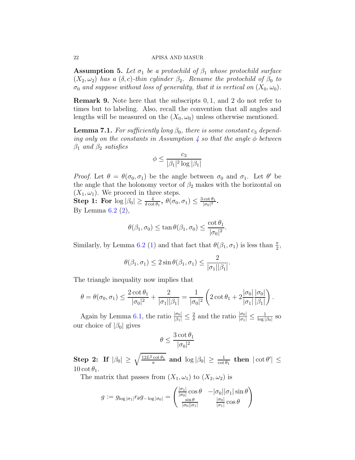**Assumption 5.** Let  $\sigma_1$  be a protochild of  $\beta_1$  whose protochild surface  $(X_2, \omega_2)$  has a  $(\delta, c)$ -thin cylinder  $\beta_2$ . Rename the protochild of  $\beta_0$  to  $\sigma_0$  and suppose without loss of generality, that it is vertical on  $(X_0, \omega_0)$ .

Remark 9. Note here that the subscripts 0, 1, and 2 do not refer to times but to labeling. Also, recall the convention that all angles and lengths will be measured on the  $(X_0, \omega_0)$  unless otherwise mentioned.

<span id="page-21-0"></span>**Lemma 7.1.** For sufficiently long  $\beta_0$ , there is some constant  $c_3$  depend-ing only on the constants in Assumption [4](#page-17-4) so that the angle  $\phi$  between  $\beta_1$  and  $\beta_2$  satisfies

$$
\phi \leq \frac{c_3}{|\beta_1|^2\log|\beta_1|}
$$

*Proof.* Let  $\theta = \theta(\sigma_0, \sigma_1)$  be the angle between  $\sigma_0$  and  $\sigma_1$ . Let  $\theta'$  be the angle that the holonomy vector of  $\beta_2$  makes with the horizontal on  $(X_1, \omega_1)$ . We proceed in three steps.

 $\textbf{Step 1: For } \log |\beta_0| \geq \frac{4}{\delta \cot \theta_1}, \ \theta(\sigma_0,\sigma_1) \leq \frac{3 \cot \theta_1}{|\sigma_0|^2}$  $\frac{\cot \theta_1}{|\sigma_0|^2}$ . By Lemma  $6.2$   $(2)$ ,

$$
\theta(\beta_1, \sigma_0) \le \tan \theta(\beta_1, \sigma_0) \le \frac{\cot \theta_1}{|\sigma_0|^2}.
$$

Similarly, by Lemma [6.2](#page-18-4) [\(1\)](#page-18-5) and that fact that  $\theta(\beta_1, \sigma_1)$  is less than  $\frac{\pi}{2}$ ,

$$
\theta(\beta_1, \sigma_1) \le 2 \sin \theta(\beta_1, \sigma_1) \le \frac{2}{|\sigma_1||\beta_1|}.
$$

The triangle inequality now implies that

$$
\theta = \theta(\sigma_0, \sigma_1) \le \frac{2 \cot \theta_1}{|\sigma_0|^2} + \frac{2}{|\sigma_1||\beta_1|} = \frac{1}{|\sigma_0|^2} \left( 2 \cot \theta_1 + 2 \frac{|\sigma_0|}{|\sigma_1|} \frac{|\sigma_0|}{|\beta_1|} \right).
$$

Again by Lemma [6.1,](#page-17-3) the ratio  $\frac{|\sigma_0|}{|\beta_1|} \leq \frac{2}{\delta}$  $\frac{2}{\delta}$  and the ratio  $\frac{|\sigma_0|}{|\sigma_1|} \leq \frac{1}{\log |\sigma_1|}$  $\frac{1}{\log |\beta_0|}$  SO our choice of  $|\beta_0|$  gives

$$
\theta \leq \frac{3\cot \theta_1}{|\sigma_0|^2}
$$

 $\textbf{Step 2: If } |\beta_0| \, \geq \, \sqrt{\frac{12L^2 \cot \theta_1}{\pi}}$  $\frac{\cot \theta_1}{\pi}$  and  $\log |\beta_0| \geq \frac{1}{\cot \theta_1}$  then  $|\cot \theta'| \leq$ 10 cot  $\theta_1$ .

The matrix that passes from  $(X_1, \omega_1)$  to  $(X_2, \omega_2)$  is

$$
g := g_{\log |\sigma_1|} r_{\theta} g_{-\log |\sigma_0|} = \begin{pmatrix} \frac{|\sigma_1|}{|\sigma_0|} \cos \theta & -|\sigma_0||\sigma_1| \sin \theta \\ \frac{\sin \theta}{|\sigma_0||\sigma_1|} & \frac{|\sigma_0|}{|\sigma_1|} \cos \theta \end{pmatrix}
$$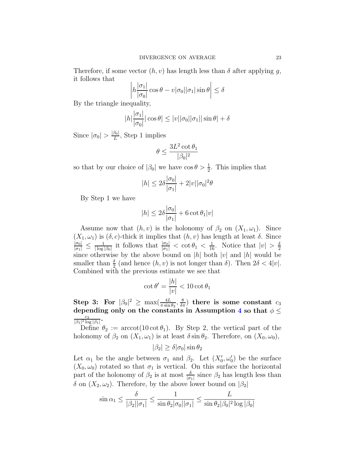Therefore, if some vector  $(h, v)$  has length less than  $\delta$  after applying g, it follows that

$$
\left| h \frac{|\sigma_1|}{|\sigma_0|} \cos \theta - v |\sigma_0| |\sigma_1| \sin \theta \right| \le \delta
$$

By the triangle inequality,

$$
|h|\frac{|\sigma_1|}{|\sigma_0|}|\cos\theta| \le |v||\sigma_0||\sigma_1||\sin\theta| + \delta
$$

Since  $|\sigma_0| > \frac{|\beta_0|}{L}$ , Step 1 implies

$$
\theta \leq \frac{3L^2\cot\theta_1}{|\beta_0|^2}
$$

so that by our choice of  $|\beta_0|$  we have  $\cos \theta > \frac{1}{2}$ . This implies that

$$
|h| \le 2\delta \frac{|\sigma_0|}{|\sigma_1|} + 2|v||\sigma_0|^2 \theta
$$

By Step 1 we have

$$
|h| \le 2\delta \frac{|\sigma_0|}{|\sigma_1|} + 6 \cot \theta_1 |v|
$$

Assume now that  $(h, v)$  is the holonomy of  $\beta_2$  on  $(X_1, \omega_1)$ . Since  $(X_1, \omega_1)$  is  $(\delta, c)$ -thick it implies that  $(h, v)$  has length at least  $\delta$ . Since  $\frac{|\sigma_0|}{|\sigma_1|} \leq \frac{1}{|\log}$  $\frac{1}{|\log|\beta_0|}$  it follows that  $\frac{|\sigma_0|}{|\sigma_1|} < \cot \theta_1 < \frac{1}{16}$ . Notice that  $|v| > \frac{5}{2}$ 2 since otherwise by the above bound on |h| both  $|v|$  and  $|h|$  would be smaller than  $\frac{\delta}{2}$  (and hence  $(h, v)$  is not longer than  $\delta$ ). Then  $2\delta < 4|v|$ . Combined with the previous estimate we see that

$$
\cot \theta' = \frac{|h|}{|v|} < 10 \cot \theta_1
$$

Step 3: For  $|\beta_0|^2 \ge \max(\frac{4L}{\pi \sin \theta_2}, \frac{8}{\delta \pi})$  there is some constant  $c_3$ depending only on the constants in Assumption [4](#page-17-4) so that  $\phi \leq$ c3  $\frac{c_3}{|\beta_1|^2 \log |\beta_1|}$ .

Define  $\theta_2 := \arccot(10 \cot \theta_1)$ . By Step 2, the vertical part of the holonomy of  $\beta_2$  on  $(X_1, \omega_1)$  is at least  $\delta \sin \theta_2$ . Therefore, on  $(X_0, \omega_0)$ ,

$$
|\beta_2| \ge \delta |\sigma_0| \sin \theta_2
$$

Let  $\alpha_1$  be the angle between  $\sigma_1$  and  $\beta_2$ . Let  $(X'_0, \omega'_0)$  be the surface  $(X_0, \omega_0)$  rotated so that  $\sigma_1$  is vertical. On this surface the horizontal part of the holonomy of  $\beta_2$  is at most  $\frac{\delta}{|\sigma_1|}$  since  $\beta_2$  has length less than  $\delta$  on  $(X_2, \omega_2)$ . Therefore, by the above lower bound on  $\beta_2$ 

$$
\sin \alpha_1 \le \frac{\delta}{|\beta_2||\sigma_1|} \le \frac{1}{\sin \theta_2|\sigma_0||\sigma_1|} \le \frac{L}{\sin \theta_2|\beta_0|^2 \log |\beta_0|}
$$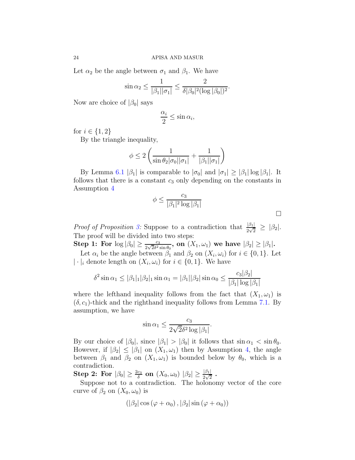Let  $\alpha_2$  be the angle between  $\sigma_1$  and  $\beta_1$ . We have

$$
\sin \alpha_2 \le \frac{1}{|\beta_1||\sigma_1|} \le \frac{2}{\delta |\beta_0|^2 (\log |\beta_0|)^2}.
$$

Now are choice of  $|\beta_0|$  says

$$
\frac{\alpha_i}{2} \le \sin \alpha_i,
$$

for  $i \in \{1, 2\}$ 

By the triangle inequality,

$$
\phi \le 2\left(\frac{1}{\sin \theta_2 |\sigma_0||\sigma_1|} + \frac{1}{|\beta_1||\sigma_1|}\right)
$$

By Lemma [6.1](#page-17-3)  $|\beta_1|$  is comparable to  $|\sigma_0|$  and  $|\sigma_1| \geq |\beta_1| \log |\beta_1|$ . It follows that there is a constant  $c_3$  only depending on the constants in Assumption [4](#page-17-4)

$$
\phi \le \frac{c_3}{|\beta_1|^2 \log |\beta_1|}
$$

 $\Box$ 

*Proof of Proposition [3:](#page-20-1)* Suppose to a contradiction that  $\frac{|\beta_1|}{2\sqrt{2}} \geq |\beta_2|$ . The proof will be divided into two steps:

Step 1: For  $\log |\beta_0| \ge \frac{c_3}{2\sqrt{2}\delta^2 \sin \theta_0}$ , on  $(X_1, \omega_1)$  we have  $|\beta_2| \ge |\beta_1|$ .

Let  $\alpha_i$  be the angle between  $\beta_1$  and  $\beta_2$  on  $(X_i, \omega_i)$  for  $i \in \{0, 1\}$ . Let  $|\cdot|_i$  denote length on  $(X_i, \omega_i)$  for  $i \in \{0, 1\}$ . We have

$$
\delta^2 \sin \alpha_1 \le |\beta_1|_1 |\beta_2|_1 \sin \alpha_1 = |\beta_1| |\beta_2| \sin \alpha_0 \le \frac{c_3 |\beta_2|}{|\beta_1| \log |\beta_1|}
$$

where the lefthand inequality follows from the fact that  $(X_1, \omega_1)$  is  $(\delta, c_1)$ -thick and the righthand inequality follows from Lemma [7.1.](#page-21-0) By assumption, we have

$$
\sin \alpha_1 \le \frac{c_3}{2\sqrt{2}\delta^2 \log |\beta_1|}.
$$

By our choice of  $|\beta_0|$ , since  $|\beta_1| > |\beta_0|$  it follows that  $\sin \alpha_1 < \sin \theta_0$ . However, if  $|\beta_2| \leq |\beta_1|$  on  $(X_1, \omega_1)$  then by Assumption [4,](#page-17-4) the angle between  $\beta_1$  and  $\beta_2$  on  $(X_1, \omega_1)$  is bounded below by  $\theta_0$ , which is a contradiction.

 $\textbf{Step 2: For } |\beta_0| \geq \frac{2c_3}{\delta} \textbf{ on } (X_0,\omega_0) \; |\beta_2| \geq \frac{|\beta_1|}{2\sqrt{2}} \; .$ 

Suppose not to a contradiction. The holonomy vector of the core curve of  $\beta_2$  on  $(X_0, \omega_0)$  is

$$
(|\beta_2|\cos(\varphi+\alpha_0),|\beta_2|\sin(\varphi+\alpha_0))
$$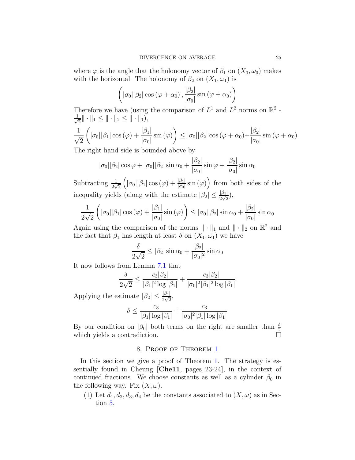where  $\varphi$  is the angle that the holonomy vector of  $\beta_1$  on  $(X_0, \omega_0)$  makes with the horizontal. The holonomy of  $\beta_2$  on  $(X_1, \omega_1)$  is

$$
\left( |\sigma_0| |\beta_2| \cos (\varphi + \alpha_0) , \frac{|\beta_2|}{|\sigma_0|} \sin (\varphi + \alpha_0) \right)
$$

Therefore we have (using the comparison of  $L^1$  and  $L^2$  norms on  $\mathbb{R}^2$  -√ 1  $\frac{1}{2} \|\cdot\|_1 \leq \|\cdot\|_2 \leq \|\cdot\|_1$ 

$$
\frac{1}{\sqrt{2}}\left(|\sigma_0||\beta_1|\cos{(\varphi)} + \frac{|\beta_1|}{|\sigma_0|}\sin{(\varphi)}\right) \le |\sigma_0||\beta_2|\cos{(\varphi + \alpha_0)} + \frac{|\beta_2|}{|\sigma_0|}\sin{(\varphi + \alpha_0)}
$$
  
The right hand side is bounded above by

The right hand side is bounded above by

$$
|\sigma_0||\beta_2|\cos\varphi + |\sigma_0||\beta_2|\sin\alpha_0 + \frac{|\beta_2|}{|\sigma_0|}\sin\varphi + \frac{|\beta_2|}{|\sigma_0|}\sin\alpha_0
$$

Subtracting  $\frac{1}{2\sqrt{2}}$  $(|\sigma_0||\beta_1|\cos{(\varphi)} + \frac{|\beta_1|}{|\sigma_0|}\sin{(\varphi)})$  from both sides of the inequality yields (along with the estimate  $|\beta_2| \leq \frac{|\beta_1|}{2\sqrt{2}}$ ),

$$
\frac{1}{2\sqrt{2}}\left(|\sigma_0||\beta_1|\cos{(\varphi)} + \frac{|\beta_1|}{|\sigma_0|}\sin{(\varphi)}\right) \leq |\sigma_0||\beta_2|\sin{\alpha_0} + \frac{|\beta_2|}{|\sigma_0|}\sin{\alpha_0}
$$

Again using the comparison of the norms  $\|\cdot\|_1$  and  $\|\cdot\|_2$  on  $\mathbb{R}^2$  and the fact that  $\beta_1$  has length at least  $\delta$  on  $(X_1, \omega_1)$  we have

$$
\frac{\delta}{2\sqrt{2}} \le |\beta_2| \sin \alpha_0 + \frac{|\beta_2|}{|\sigma_0|^2} \sin \alpha_0
$$

It now follows from Lemma [7.1](#page-21-0) that

$$
\frac{\delta}{2\sqrt{2}} \le \frac{c_3|\beta_2|}{|\beta_1|^2 \log |\beta_1|} + \frac{c_3|\beta_2|}{|\sigma_0|^2 |\beta_1|^2 \log |\beta_1|}
$$

Applying the estimate  $|\beta_2| \leq \frac{|\beta_1|}{2\sqrt{2}},$ 

$$
\delta \le \frac{c_3}{|\beta_1| \log |\beta_1|} + \frac{c_3}{|\sigma_0|^2 |\beta_1| \log |\beta_1|}
$$

<span id="page-24-0"></span>By our condition on  $|\beta_0|$  both terms on the right are smaller than  $\frac{3}{2}$ which yields a contradiction.

## 8. Proof of Theorem [1](#page-0-0)

In this section we give a proof of Theorem [1.](#page-0-0) The strategy is essentially found in Cheung [\[Che11](#page-28-2), pages 23-24], in the context of continued fractions. We choose constants as well as a cylinder  $\beta_0$  in the following way. Fix  $(X, \omega)$ .

(1) Let  $d_1, d_2, d_3, d_4$  be the constants associated to  $(X, \omega)$  as in Section [5.](#page-13-0)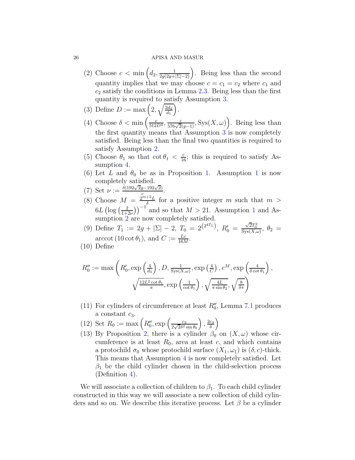- (2) Choose  $c < \min\left(d_2, \frac{1}{2g(2g+|\Sigma|-2)}\right)$ . Being less than the second quantity implies that we may choose  $c = c_1 = c_2$  where  $c_1$  and  $c_2$  satisfy the conditions in Lemma [2.3.](#page-4-0) Being less than the first quantity is required to satisfy Assumption [3.](#page-15-1)
- (3) Define  $D := \max\left(2, \sqrt{\frac{2d_4}{d_1}}\right)$ .
- (4) Choose  $\delta < \min\left(\frac{c}{512D^4}, \frac{c}{576\sqrt{2}(g-1)}, \text{Sys}(X, \omega)\right)$ . Being less than the first quantity means that Assumption [3](#page-15-1) is now completely satisfied. Being less than the final two quantities is required to satisfy Assumption [2.](#page-9-1)
- (5) Choose  $\theta_1$  so that  $\cot \theta_1 < \frac{c}{16}$ ; this is required to satisfy Assumption [4.](#page-17-4)
- (6) Let L and  $\theta_0$  be as in Proposition [1.](#page-5-0) Assumption [1](#page-8-0) is now completely satisfied.
- (7) Set  $\nu := \frac{\delta(192\sqrt{2}g 192\sqrt{2})}{c}$  $\frac{g-192\sqrt{2}}{c}$ .
- (8) Choose  $M = \frac{2^{m+2}L}{\delta}$  $\frac{f^{2}L}{\delta}$  for a positive integer m such that  $m >$  $6L$  (log ( $\frac{2}{1+r^2}$  $\left(\frac{2}{1+2\nu}\right)^{-1}$  $\left(\frac{2}{1+2\nu}\right)^{-1}$  $\left(\frac{2}{1+2\nu}\right)^{-1}$  and so that  $M > 21$ . Assumption 1 and Assumption  $2$  are now completely satisfied.
- (9) Define  $T_1 := 2g + |\Sigma| 2$ ,  $T_0 = 2^{(2^{4T_1})}$ ,  $R'_0 = \frac{\sqrt{2}T_0^2}{\text{Sys}(X,\omega)}$ ,  $\theta_2 =$ arccot (10 cot  $\theta_1$ ), and  $C := \frac{Lc}{16M}$ .
- (10) Define

$$
R_0'' := \max\left(R_0', \exp\left(\frac{4}{d_3}\right), D, \frac{1}{\text{Sys}(X, \omega)}, \exp\left(\frac{4}{C}\right), e^M, \exp\left(\frac{4}{\delta \cot \theta_1}\right), \frac{12L^2 \cot \theta_1}{\pi}, \exp\left(\frac{1}{\cot \theta_1}\right), \sqrt{\frac{4L}{\pi \sin \theta_2}}, \sqrt{\frac{8}{\delta \pi}}\right)
$$

- (11) For cylinders of circumference at least  $R''_0$ , Lemma [7.1](#page-21-0) produces a constant  $c_3$ .
- (12) Set  $R_0 := \max\left(R''_0, \exp\left(\frac{c_3}{2\sqrt{2}\delta^2}\right)\right)$  $\sqrt{2\delta^2} \sin \theta_0$ ),  $\frac{2c_3}{\delta}$  $\frac{c_3}{\delta}\Big)$
- (13) By Proposition [2,](#page-15-2) there is a cylinder  $\beta_0$  on  $(X,\omega)$  whose circumference is at least  $R_0$ , area at least c, and which contains a protochild  $\sigma_0$  whose protochild surface  $(X_1, \omega_1)$  is  $(\delta, c)$ -thick. This means that Assumption [4](#page-17-4) is now completely satisfied. Let  $\beta_1$  be the child cylinder chosen in the child-selection process (Definition [4\)](#page-8-1).

We will associate a collection of children to  $\beta_1$ . To each child cylinder constructed in this way we will associate a new collection of child cylinders and so on. We describe this iterative process. Let  $\beta$  be a cylinder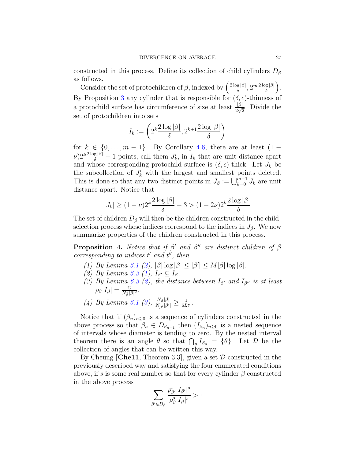constructed in this process. Define its collection of child cylinders  $D_{\beta}$ as follows.

Consider the set of protochildren of  $\beta$ , indexed by  $\left(\frac{2\log|\beta|}{\delta}, 2^m \frac{2\log|\beta|}{\delta}\right)$ . By Proposition [3](#page-20-1) any cylinder that is responsible for  $(\delta, c)$ -thinness of a protochild surface has circumference of size at least  $\frac{|\beta|}{2\sqrt{2}}$ . Divide the set of protochildren into sets

$$
I_k := \left(2^k \frac{2 \log |\beta|}{\delta}, 2^{k+1} \frac{2 \log |\beta|}{\delta}\right)
$$

for  $k \in \{0, \ldots, m-1\}$ . By Corollary [4.6,](#page-13-1) there are at least  $(1 (v)2^k\frac{2\log|\beta|}{\delta}-1$  points, call them  $J'_k$ , in  $I_k$  that are unit distance apart and whose corresponding protochild surface is  $(\delta, c)$ -thick. Let  $J_k$  be the subcollection of  $J'_k$  with the largest and smallest points deleted. This is done so that any two distinct points in  $J_\beta := \bigcup_{k=0}^{m-1} J_k$  are unit distance apart. Notice that

$$
|J_k| \ge (1 - \nu)2^k \frac{2 \log |\beta|}{\delta} - 3 > (1 - 2\nu)2^k \frac{2 \log |\beta|}{\delta}
$$

The set of children  $D_\beta$  will then be the children constructed in the childselection process whose indices correspond to the indices in  $J_\beta$ . We now summarize properties of the children constructed in this process.

<span id="page-26-0"></span>**Proposition 4.** Notice that if  $\beta'$  and  $\beta''$  are distinct children of  $\beta$  $corresponding to indices t' and t'', then$ 

- (1) By Lemma [6.1](#page-17-3) [\(2\)](#page-17-1),  $|\beta| \log |\beta| \leq |\beta'| \leq M |\beta| \log |\beta|$ .
- (2) By Lemma [6.3](#page-19-2) [\(1\)](#page-19-0),  $I_{\beta'} \subseteq I_{\beta}$ .
- (3) By Lemma [6.3](#page-19-2) [\(2\)](#page-19-1), the distance between  $I_{\beta'}$  and  $I_{\beta''}$  is at least  $\rho_{\beta}|I_{\beta}| = \frac{C}{N_{\beta}^2|\beta|^2}.$
- (4) By Lemma [6.1](#page-17-3) [\(3\)](#page-18-0),  $\frac{N_{\beta}|\beta|}{N_{\beta'}|\beta'|} \ge \frac{1}{6Lt'}$ .

Notice that if  $(\beta_n)_{n>0}$  is a sequence of cylinders constructed in the above process so that  $\beta_n \in D_{\beta_{n-1}}$  then  $(I_{\beta_n})_{n\geq 0}$  is a nested sequence of intervals whose diameter is tending to zero. By the nested interval theorem there is an angle  $\theta$  so that  $\bigcap_n I_{\beta_n} = {\theta}$ . Let  $\mathcal D$  be the collection of angles that can be written this way.

By Cheung [\[Che11](#page-28-2), Theorem 3.3], given a set  $\mathcal D$  constructed in the previously described way and satisfying the four enumerated conditions above, if s is some real number so that for every cylinder  $\beta$  constructed in the above process

$$
\sum_{\beta' \in D_{\beta}} \frac{\rho_{\beta'}^s |I_{\beta'}|^s}{\rho_{\beta}^s |I_{\beta}|^s} > 1
$$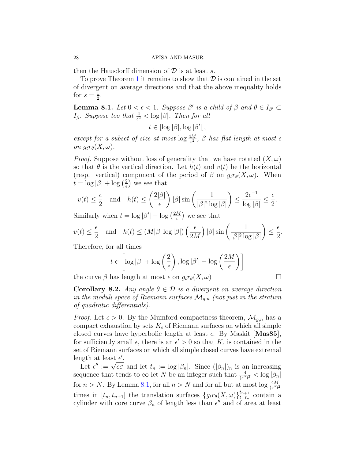then the Hausdorff dimension of  $\mathcal D$  is at least s.

To prove Theorem [1](#page-0-0) it remains to show that  $\mathcal D$  is contained in the set of divergent on average directions and that the above inequality holds for  $s=\frac{1}{2}$  $\frac{1}{2}$ .

<span id="page-27-0"></span>**Lemma 8.1.** Let  $0 < \epsilon < 1$ . Suppose  $\beta'$  is a child of  $\beta$  and  $\theta \in I_{\beta'} \subset I_{\beta'}$  $I_{\beta}$ . Suppose too that  $\frac{4}{\epsilon^2} < \log |\beta|$ . Then for all

 $t \in [\log |\beta|, \log |\beta'|],$ 

except for a subset of size at most  $\log \frac{4M}{\epsilon^2}$ ,  $\beta$  has flat length at most  $\epsilon$ on  $g_t r_\theta(X, \omega)$ .

*Proof.* Suppose without loss of generality that we have rotated  $(X, \omega)$ so that  $\theta$  is the vertical direction. Let  $h(t)$  and  $v(t)$  be the horizontal (resp. vertical) component of the period of  $\beta$  on  $g_t r_\theta(X,\omega)$ . When  $t = \log |\beta| + \log \left(\frac{2}{\epsilon}\right)$  $\left(\frac{2}{\epsilon}\right)$  we see that

$$
v(t) \le \frac{\epsilon}{2} \quad \text{and} \quad h(t) \le \left(\frac{2|\beta|}{\epsilon}\right)|\beta|\sin\left(\frac{1}{|\beta|^2\log|\beta|}\right) \le \frac{2\epsilon^{-1}}{\log|\beta|} \le \frac{\epsilon}{2}.
$$

Similarly when  $t = \log |\beta'| - \log \left(\frac{2M}{\epsilon}\right)$  $\frac{M}{\epsilon}$  we see that

$$
v(t) \le \frac{\epsilon}{2} \quad \text{and} \quad h(t) \le (M|\beta| \log |\beta|) \left(\frac{\epsilon}{2M}\right) |\beta| \sin\left(\frac{1}{|\beta|^2 \log |\beta|}\right) \le \frac{\epsilon}{2}.
$$

Therefore, for all times

$$
t \in \left[ \log |\beta| + \log \left( \frac{2}{\epsilon} \right), \log |\beta'| - \log \left( \frac{2M}{\epsilon} \right) \right]
$$

the curve  $\beta$  has length at most  $\epsilon$  on  $g_t r_{\theta}(X, \omega)$ 

**Corollary 8.2.** Any angle  $\theta \in \mathcal{D}$  is a divergent on average direction in the moduli space of Riemann surfaces  $\mathcal{M}_{q,n}$  (not just in the stratum of quadratic differentials).

*Proof.* Let  $\epsilon > 0$ . By the Mumford compactness theorem,  $\mathcal{M}_{g,n}$  has a compact exhaustion by sets  $K_{\epsilon}$  of Riemann surfaces on which all simple closed curves have hyperbolic length at least  $\epsilon$ . By Maskit [\[Mas85\]](#page-29-13), for sufficiently small  $\epsilon$ , there is an  $\epsilon' > 0$  so that  $K_{\epsilon}$  is contained in the set of Riemann surfaces on which all simple closed curves have extremal length at least  $\epsilon'$ .

Let  $\epsilon'' := \sqrt{c\epsilon'}$  and let  $t_n := \log |\beta_n|$ . Since  $(|\beta_n|)_n$  is an increasing sequence that tends to  $\infty$  let N be an integer such that  $\frac{4}{(\epsilon'')^2} < \log |\beta_n|$ for  $n > N$ . By Lemma [8.1,](#page-27-0) for all  $n > N$  and for all but at most  $\log \frac{4M}{(\epsilon'')^2}$ times in  $[t_n, t_{n+1}]$  the translation surfaces  $\{g_t r_{\theta}(X, \omega)\}_{t=t_n}^{t_{n+1}}$  $_{t=t_n}^{t_{n+1}}$  contain a cylinder with core curve  $\beta_n$  of length less than  $\epsilon''$  and of area at least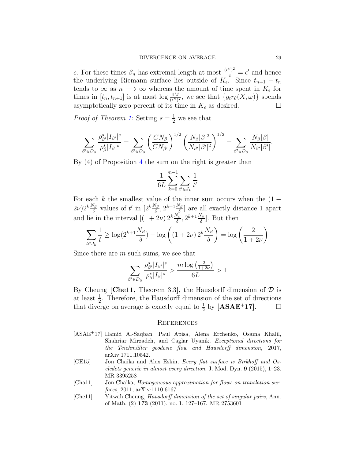c. For these times  $\beta_n$  has extremal length at most  $\frac{(\epsilon'')^2}{c} = \epsilon'$  and hence the underlying Riemann surface lies outside of  $K_{\epsilon}$ . Since  $t_{n+1} - t_n$ tends to  $\infty$  as  $n \longrightarrow \infty$  whereas the amount of time spent in  $K_{\epsilon}$  for times in  $[t_n, t_{n+1}]$  is at most  $\log \frac{4M}{(\epsilon'')^2}$ , we see that  $\{g_t r_\theta(X, \omega)\}\)$  spends asymptotically zero percent of its time in  $K_{\epsilon}$  as desired.

*Proof of Theorem [1:](#page-0-0)* Setting  $s = \frac{1}{2}$  we see that

$$
\sum_{\beta'\in D_{\beta}}\frac{\rho_{\beta'}^s|I_{\beta'}|^s}{\rho_{\beta}^s|I_{\beta}|^s}=\sum_{\beta'\in D_{\beta}}\left(\frac{CN_{\beta}}{CN_{\beta'}}\right)^{1/2}\left(\frac{N_{\beta}|\beta|^2}{N_{\beta'}|\beta'|^2}\right)^{1/2}=\sum_{\beta'\in D_{\beta}}\frac{N_{\beta}|\beta|}{N_{\beta'}|\beta'|}.
$$

By (4) of Proposition [4](#page-26-0) the sum on the right is greater than

$$
\frac{1}{6L} \sum_{k=0}^{m-1} \sum_{t' \in J_k} \frac{1}{t'}
$$

For each k the smallest value of the inner sum occurs when the  $(1 (2\nu)2^k\frac{N_\beta}{\delta}$  values of t' in  $[2^k\frac{N_\beta}{\delta}, 2^{k+1}\frac{N_\beta}{\delta}]$  $\left[\frac{\sqrt{3}}{\delta}\right]$  are all exactly distance 1 apart and lie in the interval  $[(1+2\nu) 2^k \frac{N_\beta}{\delta}, 2^{k+1} \frac{N_\beta}{\delta}]$  $\frac{\sqrt{3}}{\delta}$ . But then

$$
\sum_{t \in J_k} \frac{1}{t} \ge \log(2^{k+1} \frac{N_\beta}{\delta}) - \log\left((1+2\nu) 2^k \frac{N_\beta}{\delta}\right) = \log\left(\frac{2}{1+2\nu}\right)
$$

Since there are m such sums, we see that

$$
\sum_{\beta' \in D_{\beta}} \frac{\rho_{\beta'}^s |I_{\beta'}|^s}{\rho_{\beta}^s |I_{\beta}|^s} > \frac{m \log \left(\frac{2}{1+2\nu}\right)}{6L} > 1
$$

By Cheung [\[Che11](#page-28-2), Theorem 3.3], the Hausdorff dimension of  $\mathcal D$  is at least  $\frac{1}{2}$ . Therefore, the Hausdorff dimension of the set of directions that diverge on average is exactly equal to  $\frac{1}{2}$  by [\[ASAE](#page-28-1)<sup>+</sup>17].  $\Box$ 

### **REFERENCES**

- <span id="page-28-1"></span>[ASAE<sup>+</sup>17] Hamid Al-Saqban, Paul Apisa, Alena Erchenko, Osama Khalil, Shahriar Mirzadeh, and Caglar Uyanik, Exceptional directions for the Teichmüller geodesic flow and Hausdorff dimension, 2017, arXiv:1711.10542.
- <span id="page-28-0"></span>[CE15] Jon Chaika and Alex Eskin, Every flat surface is Birkhoff and Oseledets generic in almost every direction, J. Mod. Dyn. 9 (2015), 1–23. MR 3395258
- <span id="page-28-3"></span>[Cha11] Jon Chaika, Homogeneous approximation for flows on translation surfaces, 2011, arXiv:1110.6167.
- <span id="page-28-2"></span>[Che11] Yitwah Cheung, Hausdorff dimension of the set of singular pairs, Ann. of Math. (2) 173 (2011), no. 1, 127–167. MR 2753601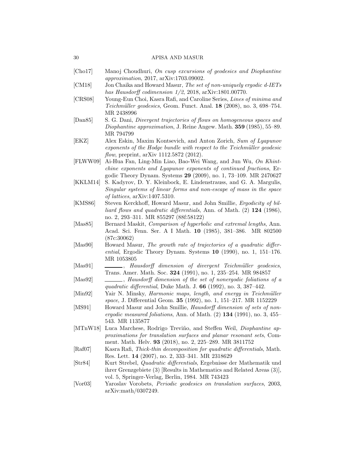- <span id="page-29-4"></span>[Cho17] Manoj Choudhuri, On cusp excursions of geodesics and Diophantine approximation, 2017, arXiv:1703.09002.
- <span id="page-29-9"></span>[CM18] Jon Chaika and Howard Masur, The set of non-uniquely ergodic d-IETs has Hausdorff codimension 1/2, 2018, arXiv:1801.00770.
- <span id="page-29-14"></span>[CRS08] Young-Eun Choi, Kasra Rafi, and Caroline Series, Lines of minima and Teichmüller geodesics, Geom. Funct. Anal. 18 (2008), no. 3, 698–754. MR 2438996
- <span id="page-29-3"></span>[Dan85] S. G. Dani, Divergent trajectories of flows on homogeneous spaces and Diophantine approximation, J. Reine Angew. Math. 359 (1985), 55–89. MR 794799
- <span id="page-29-11"></span>[EKZ] Alex Eskin, Maxim Kontsevich, and Anton Zorich, Sum of Lyapunov exponents of the Hodge bundle with respect to the Teichmüller geodesic flow, preprint, arXiv 1112.5872 (2012).
- <span id="page-29-5"></span>[FLWW09] Ai-Hua Fan, Ling-Min Liao, Bao-Wei Wang, and Jun Wu, On Khintchine exponents and Lyapunov exponents of continued fractions, Ergodic Theory Dynam. Systems 29 (2009), no. 1, 73–109. MR 2470627
- <span id="page-29-0"></span>[KKLM14] S. Kadyrov, D. Y. Kleinbock, E. Lindenstrauss, and G. A. Margulis, Singular systems of linear forms and non-escape of mass in the space of lattices, arXiv:1407.5310.
- <span id="page-29-8"></span>[KMS86] Steven Kerckhoff, Howard Masur, and John Smillie, Ergodicity of billiard flows and quadratic differentials, Ann. of Math. (2) 124 (1986), no. 2, 293–311. MR 855297 (88f:58122)
- <span id="page-29-13"></span>[Mas85] Bernard Maskit, *Comparison of hyperbolic and extremal lengths*, Ann. Acad. Sci. Fenn. Ser. A I Math. 10 (1985), 381–386. MR 802500 (87c:30062)
- <span id="page-29-17"></span>[Mas90] Howard Masur, The growth rate of trajectories of a quadratic differential, Ergodic Theory Dynam. Systems 10 (1990), no. 1, 151–176. MR 1053805
- <span id="page-29-1"></span>[Mas91] , Hausdorff dimension of divergent Teichmüller geodesics, Trans. Amer. Math. Soc. 324 (1991), no. 1, 235–254. MR 984857
- <span id="page-29-2"></span>[Mas92]  $\qquad \qquad$ , Hausdorff dimension of the set of nonergodic foliations of a quadratic differential, Duke Math. J.  $66$  (1992), no. 3, 387–442.
- <span id="page-29-12"></span>[Min92] Yair N. Minsky, Harmonic maps, length, and energy in Teichmüller space, J. Differential Geom. **35** (1992), no. 1, 151–217. MR 1152229
- <span id="page-29-7"></span>[MS91] Howard Masur and John Smillie, Hausdorff dimension of sets of nonergodic measured foliations, Ann. of Math.  $(2)$  134  $(1991)$ , no. 3, 455– 543. MR 1135877
- <span id="page-29-16"></span>[MTnW18] Luca Marchese, Rodrigo Treviño, and Steffen Weil, *Diophantine ap*proximations for translation surfaces and planar resonant sets, Comment. Math. Helv. 93 (2018), no. 2, 225–289. MR 3811752
- <span id="page-29-10"></span>[Raf07] Kasra Rafi, Thick-thin decomposition for quadratic differentials, Math. Res. Lett. 14 (2007), no. 2, 333–341. MR 2318629
- <span id="page-29-6"></span>[Str84] Kurt Strebel, Quadratic differentials, Ergebnisse der Mathematik und ihrer Grenzgebiete (3) [Results in Mathematics and Related Areas (3)], vol. 5, Springer-Verlag, Berlin, 1984. MR 743423
- <span id="page-29-15"></span>[Vor03] Yaroslav Vorobets, Periodic geodesics on translation surfaces, 2003, arXiv:math/0307249.